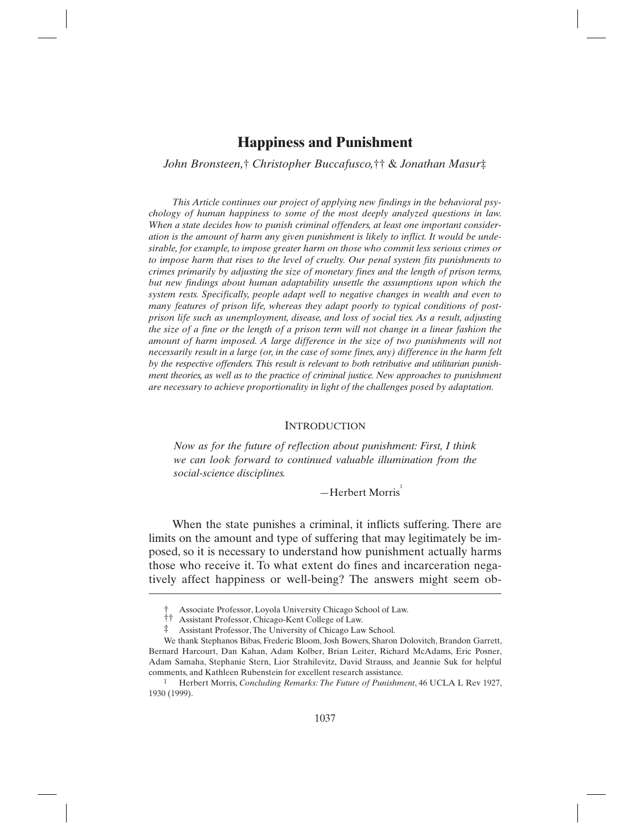*John Bronsteen,*† *Christopher Buccafusco,*†† & *Jonathan Masur*‡

*This Article continues our project of applying new findings in the behavioral psychology of human happiness to some of the most deeply analyzed questions in law. When a state decides how to punish criminal offenders, at least one important consideration is the amount of harm any given punishment is likely to inflict. It would be undesirable, for example, to impose greater harm on those who commit less serious crimes or to impose harm that rises to the level of cruelty. Our penal system fits punishments to crimes primarily by adjusting the size of monetary fines and the length of prison terms, but new findings about human adaptability unsettle the assumptions upon which the system rests. Specifically, people adapt well to negative changes in wealth and even to many features of prison life, whereas they adapt poorly to typical conditions of postprison life such as unemployment, disease, and loss of social ties. As a result, adjusting the size of a fine or the length of a prison term will not change in a linear fashion the amount of harm imposed. A large difference in the size of two punishments will not necessarily result in a large (or, in the case of some fines, any) difference in the harm felt by the respective offenders. This result is relevant to both retributive and utilitarian punishment theories, as well as to the practice of criminal justice. New approaches to punishment are necessary to achieve proportionality in light of the challenges posed by adaptation.* 

#### **INTRODUCTION**

*Now as for the future of reflection about punishment: First, I think we can look forward to continued valuable illumination from the social-science disciplines.* 

 $-Herbert$  Morris<sup>1</sup>

When the state punishes a criminal, it inflicts suffering. There are limits on the amount and type of suffering that may legitimately be imposed, so it is necessary to understand how punishment actually harms those who receive it. To what extent do fines and incarceration negatively affect happiness or well-being? The answers might seem ob-

<sup>†</sup> Associate Professor, Loyola University Chicago School of Law.

<sup>††</sup> Assistant Professor, Chicago-Kent College of Law.<br>‡ Assistant Professor The University of Chicago Lay

Assistant Professor, The University of Chicago Law School.

We thank Stephanos Bibas, Frederic Bloom, Josh Bowers, Sharon Dolovitch, Brandon Garrett, Bernard Harcourt, Dan Kahan, Adam Kolber, Brian Leiter, Richard McAdams, Eric Posner, Adam Samaha, Stephanie Stern, Lior Strahilevitz, David Strauss, and Jeannie Suk for helpful comments, and Kathleen Rubenstein for excellent research assistance.

<sup>1</sup> Herbert Morris, *Concluding Remarks: The Future of Punishment*, 46 UCLA L Rev 1927, 1930 (1999).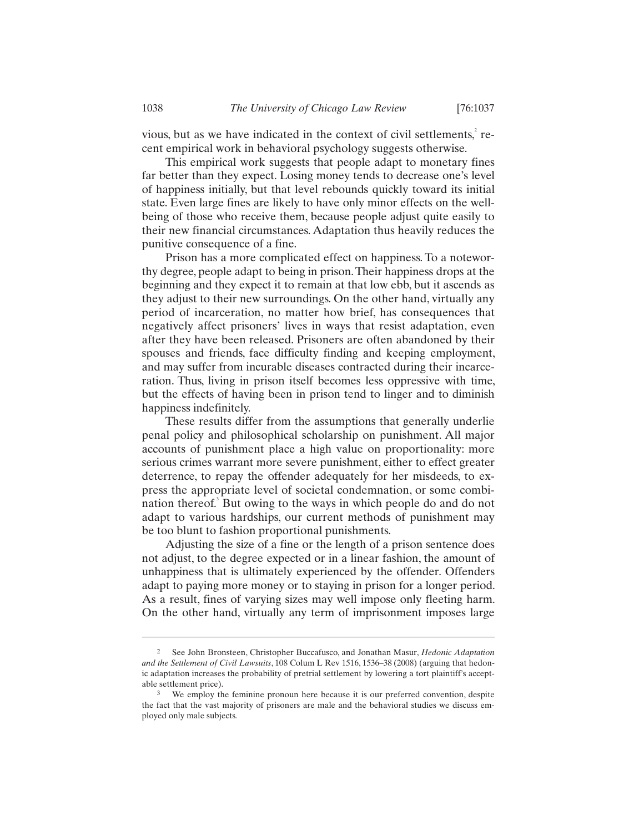vious, but as we have indicated in the context of civil settlements, $\epsilon$ <sup>2</sup> recent empirical work in behavioral psychology suggests otherwise.

This empirical work suggests that people adapt to monetary fines far better than they expect. Losing money tends to decrease one's level of happiness initially, but that level rebounds quickly toward its initial state. Even large fines are likely to have only minor effects on the wellbeing of those who receive them, because people adjust quite easily to their new financial circumstances. Adaptation thus heavily reduces the punitive consequence of a fine.

Prison has a more complicated effect on happiness. To a noteworthy degree, people adapt to being in prison. Their happiness drops at the beginning and they expect it to remain at that low ebb, but it ascends as they adjust to their new surroundings. On the other hand, virtually any period of incarceration, no matter how brief, has consequences that negatively affect prisoners' lives in ways that resist adaptation, even after they have been released. Prisoners are often abandoned by their spouses and friends, face difficulty finding and keeping employment, and may suffer from incurable diseases contracted during their incarceration. Thus, living in prison itself becomes less oppressive with time, but the effects of having been in prison tend to linger and to diminish happiness indefinitely.

These results differ from the assumptions that generally underlie penal policy and philosophical scholarship on punishment. All major accounts of punishment place a high value on proportionality: more serious crimes warrant more severe punishment, either to effect greater deterrence, to repay the offender adequately for her misdeeds, to express the appropriate level of societal condemnation, or some combination thereof.<sup>3</sup> But owing to the ways in which people do and do not adapt to various hardships, our current methods of punishment may be too blunt to fashion proportional punishments.

Adjusting the size of a fine or the length of a prison sentence does not adjust, to the degree expected or in a linear fashion, the amount of unhappiness that is ultimately experienced by the offender. Offenders adapt to paying more money or to staying in prison for a longer period. As a result, fines of varying sizes may well impose only fleeting harm. On the other hand, virtually any term of imprisonment imposes large

<sup>2</sup> See John Bronsteen, Christopher Buccafusco, and Jonathan Masur, *Hedonic Adaptation and the Settlement of Civil Lawsuits*, 108 Colum L Rev 1516, 1536–38 (2008) (arguing that hedonic adaptation increases the probability of pretrial settlement by lowering a tort plaintiff's acceptable settlement price).

<sup>&</sup>lt;sup>3</sup> We employ the feminine pronoun here because it is our preferred convention, despite the fact that the vast majority of prisoners are male and the behavioral studies we discuss employed only male subjects.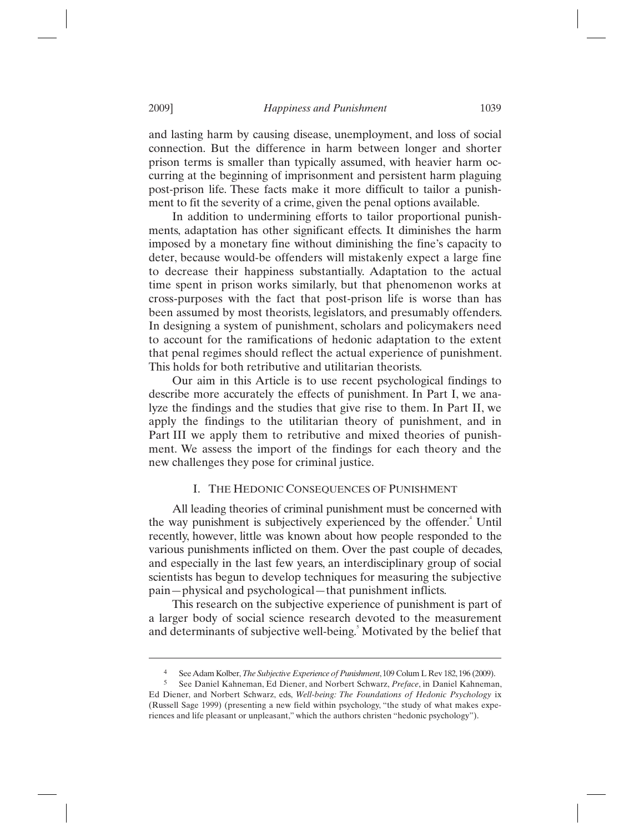and lasting harm by causing disease, unemployment, and loss of social connection. But the difference in harm between longer and shorter prison terms is smaller than typically assumed, with heavier harm occurring at the beginning of imprisonment and persistent harm plaguing post-prison life. These facts make it more difficult to tailor a punishment to fit the severity of a crime, given the penal options available.

In addition to undermining efforts to tailor proportional punishments, adaptation has other significant effects. It diminishes the harm imposed by a monetary fine without diminishing the fine's capacity to deter, because would-be offenders will mistakenly expect a large fine to decrease their happiness substantially. Adaptation to the actual time spent in prison works similarly, but that phenomenon works at cross-purposes with the fact that post-prison life is worse than has been assumed by most theorists, legislators, and presumably offenders. In designing a system of punishment, scholars and policymakers need to account for the ramifications of hedonic adaptation to the extent that penal regimes should reflect the actual experience of punishment. This holds for both retributive and utilitarian theorists.

Our aim in this Article is to use recent psychological findings to describe more accurately the effects of punishment. In Part I, we analyze the findings and the studies that give rise to them. In Part II, we apply the findings to the utilitarian theory of punishment, and in Part III we apply them to retributive and mixed theories of punishment. We assess the import of the findings for each theory and the new challenges they pose for criminal justice.

# I. THE HEDONIC CONSEQUENCES OF PUNISHMENT

All leading theories of criminal punishment must be concerned with the way punishment is subjectively experienced by the offender.<sup>4</sup> Until recently, however, little was known about how people responded to the various punishments inflicted on them. Over the past couple of decades, and especially in the last few years, an interdisciplinary group of social scientists has begun to develop techniques for measuring the subjective pain—physical and psychological—that punishment inflicts.

This research on the subjective experience of punishment is part of a larger body of social science research devoted to the measurement and determinants of subjective well-being.<sup>5</sup> Motivated by the belief that

<sup>4</sup> See Adam Kolber, *The Subjective Experience of Punishment*, 109 Colum L Rev 182, 196 (2009).

<sup>5</sup> See Daniel Kahneman, Ed Diener, and Norbert Schwarz, *Preface*, in Daniel Kahneman, Ed Diener, and Norbert Schwarz, eds, *Well-being: The Foundations of Hedonic Psychology* ix (Russell Sage 1999) (presenting a new field within psychology, "the study of what makes experiences and life pleasant or unpleasant," which the authors christen "hedonic psychology").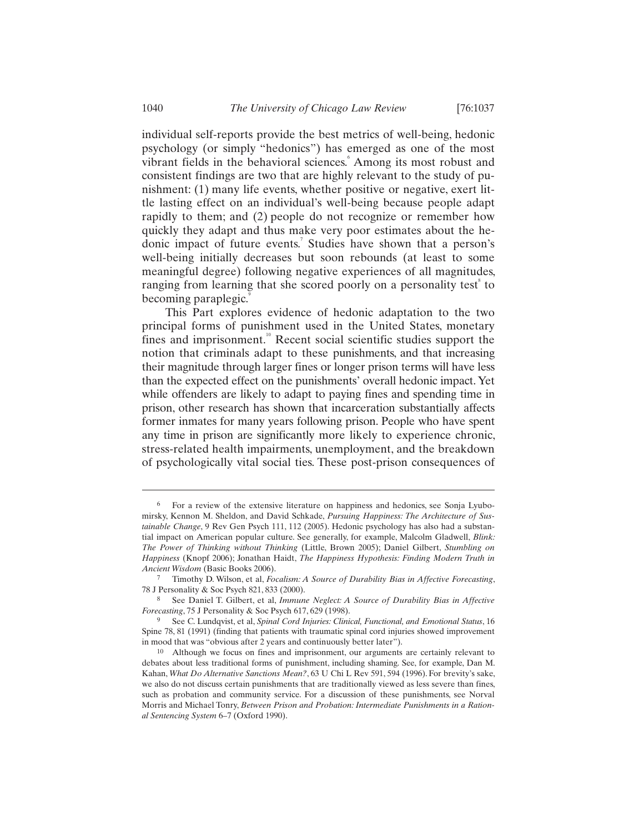individual self-reports provide the best metrics of well-being, hedonic psychology (or simply "hedonics") has emerged as one of the most vibrant fields in the behavioral sciences.<sup>6</sup> Among its most robust and consistent findings are two that are highly relevant to the study of punishment: (1) many life events, whether positive or negative, exert little lasting effect on an individual's well-being because people adapt rapidly to them; and (2) people do not recognize or remember how quickly they adapt and thus make very poor estimates about the hedonic impact of future events.<sup>7</sup> Studies have shown that a person's well-being initially decreases but soon rebounds (at least to some meaningful degree) following negative experiences of all magnitudes, ranging from learning that she scored poorly on a personality test<sup>®</sup> to becoming paraplegic.

This Part explores evidence of hedonic adaptation to the two principal forms of punishment used in the United States, monetary fines and imprisonment. $10^{\circ}$  Recent social scientific studies support the notion that criminals adapt to these punishments, and that increasing their magnitude through larger fines or longer prison terms will have less than the expected effect on the punishments' overall hedonic impact. Yet while offenders are likely to adapt to paying fines and spending time in prison, other research has shown that incarceration substantially affects former inmates for many years following prison. People who have spent any time in prison are significantly more likely to experience chronic, stress-related health impairments, unemployment, and the breakdown of psychologically vital social ties. These post-prison consequences of

<sup>6</sup> For a review of the extensive literature on happiness and hedonics, see Sonja Lyubomirsky, Kennon M. Sheldon, and David Schkade, *Pursuing Happiness: The Architecture of Sustainable Change*, 9 Rev Gen Psych 111, 112 (2005). Hedonic psychology has also had a substantial impact on American popular culture. See generally, for example, Malcolm Gladwell, *Blink: The Power of Thinking without Thinking* (Little, Brown 2005); Daniel Gilbert, *Stumbling on Happiness* (Knopf 2006); Jonathan Haidt, *The Happiness Hypothesis: Finding Modern Truth in Ancient Wisdom* (Basic Books 2006).

<sup>7</sup> Timothy D. Wilson, et al, *Focalism: A Source of Durability Bias in Affective Forecasting*, 78 J Personality & Soc Psych 821, 833 (2000).

<sup>8</sup> See Daniel T. Gilbert, et al, *Immune Neglect: A Source of Durability Bias in Affective Forecasting*, 75 J Personality & Soc Psych 617, 629 (1998).

<sup>9</sup> See C. Lundqvist, et al, *Spinal Cord Injuries: Clinical, Functional, and Emotional Status*, 16 Spine 78, 81 (1991) (finding that patients with traumatic spinal cord injuries showed improvement in mood that was "obvious after 2 years and continuously better later").

<sup>10</sup> Although we focus on fines and imprisonment, our arguments are certainly relevant to debates about less traditional forms of punishment, including shaming. See, for example, Dan M. Kahan, *What Do Alternative Sanctions Mean?*, 63 U Chi L Rev 591, 594 (1996). For brevity's sake, we also do not discuss certain punishments that are traditionally viewed as less severe than fines, such as probation and community service. For a discussion of these punishments, see Norval Morris and Michael Tonry, *Between Prison and Probation: Intermediate Punishments in a Rational Sentencing System* 6–7 (Oxford 1990).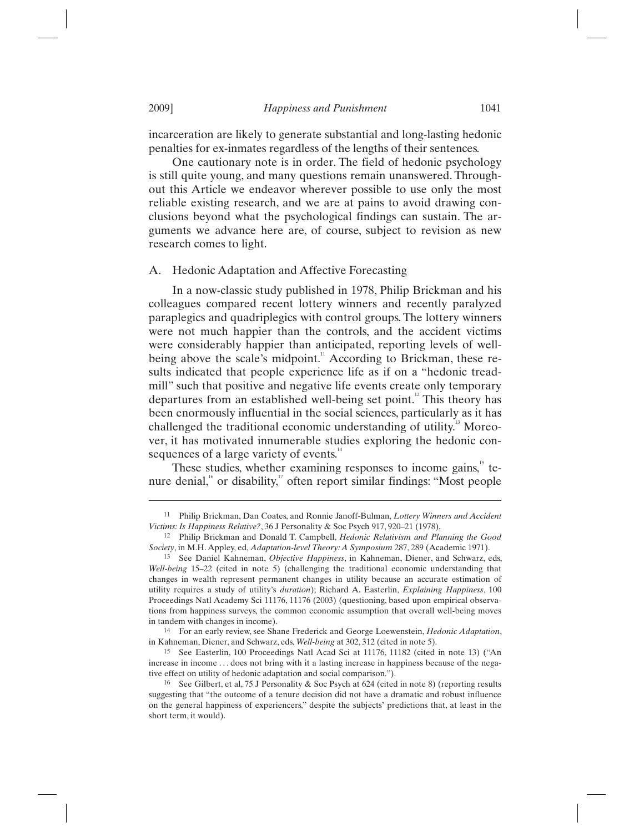incarceration are likely to generate substantial and long-lasting hedonic penalties for ex-inmates regardless of the lengths of their sentences.

One cautionary note is in order. The field of hedonic psychology is still quite young, and many questions remain unanswered. Throughout this Article we endeavor wherever possible to use only the most reliable existing research, and we are at pains to avoid drawing conclusions beyond what the psychological findings can sustain. The arguments we advance here are, of course, subject to revision as new research comes to light.

## A. Hedonic Adaptation and Affective Forecasting

In a now-classic study published in 1978, Philip Brickman and his colleagues compared recent lottery winners and recently paralyzed paraplegics and quadriplegics with control groups. The lottery winners were not much happier than the controls, and the accident victims were considerably happier than anticipated, reporting levels of wellbeing above the scale's midpoint.<sup>11</sup> According to Brickman, these results indicated that people experience life as if on a "hedonic treadmill" such that positive and negative life events create only temporary departures from an established well-being set point.<sup>12</sup> This theory has been enormously influential in the social sciences, particularly as it has challenged the traditional economic understanding of utility.<sup>13</sup> Moreover, it has motivated innumerable studies exploring the hedonic consequences of a large variety of events.<sup>14</sup>

These studies, whether examining responses to income gains, $15$  tenure denial, $\alpha$ <sup>16</sup> or disability, $\alpha$ <sup>17</sup> often report similar findings: "Most people

14 For an early review, see Shane Frederick and George Loewenstein, *Hedonic Adaptation*, in Kahneman, Diener, and Schwarz, eds, *Well-being* at 302, 312 (cited in note 5).

15 See Easterlin, 100 Proceedings Natl Acad Sci at 11176, 11182 (cited in note 13) ("An increase in income ... does not bring with it a lasting increase in happiness because of the negative effect on utility of hedonic adaptation and social comparison.").

<sup>11</sup> Philip Brickman, Dan Coates, and Ronnie Janoff-Bulman, *Lottery Winners and Accident Victims: Is Happiness Relative?*, 36 J Personality & Soc Psych 917, 920–21 (1978).

<sup>12</sup> Philip Brickman and Donald T. Campbell, *Hedonic Relativism and Planning the Good Society*, in M.H. Appley, ed, *Adaptation-level Theory: A Symposium* 287, 289 (Academic 1971).

<sup>13</sup> See Daniel Kahneman, *Objective Happiness*, in Kahneman, Diener, and Schwarz, eds, *Well-being* 15–22 (cited in note 5) (challenging the traditional economic understanding that changes in wealth represent permanent changes in utility because an accurate estimation of utility requires a study of utility's *duration*); Richard A. Easterlin, *Explaining Happiness*, 100 Proceedings Natl Academy Sci 11176, 11176 (2003) (questioning, based upon empirical observations from happiness surveys, the common economic assumption that overall well-being moves in tandem with changes in income).

<sup>16</sup> See Gilbert, et al, 75 J Personality & Soc Psych at 624 (cited in note 8) (reporting results suggesting that "the outcome of a tenure decision did not have a dramatic and robust influence on the general happiness of experiencers," despite the subjects' predictions that, at least in the short term, it would).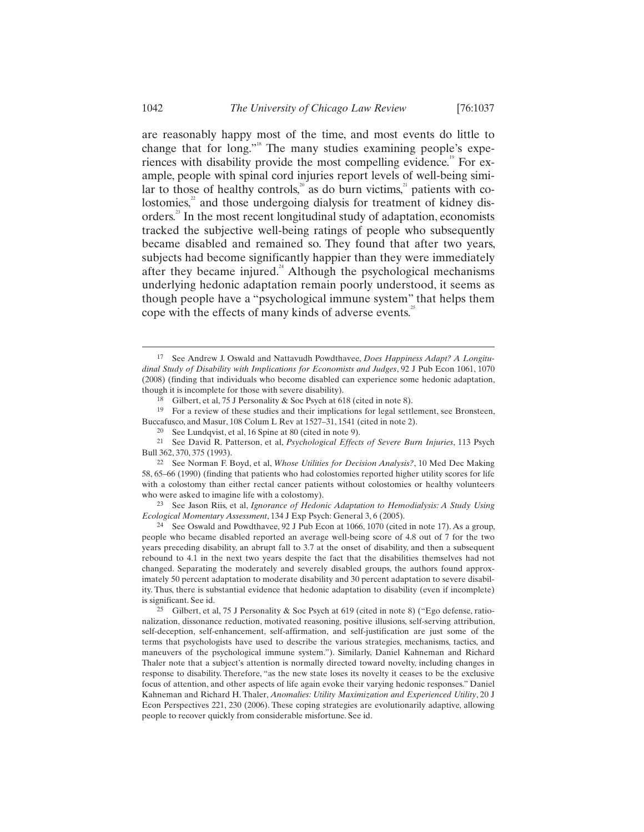are reasonably happy most of the time, and most events do little to change that for long."<sup>8</sup> The many studies examining people's experiences with disability provide the most compelling evidence.<sup>19</sup> For example, people with spinal cord injuries report levels of well-being similar to those of healthy controls, $\sum_{n=1}^{\infty}$  as do burn victims,<sup>21</sup> patients with colostomies, $\alpha$ <sup>2</sup> and those undergoing dialysis for treatment of kidney disorders.<sup>23</sup> In the most recent longitudinal study of adaptation, economists tracked the subjective well-being ratings of people who subsequently became disabled and remained so. They found that after two years, subjects had become significantly happier than they were immediately after they became injured.<sup>24</sup> Although the psychological mechanisms underlying hedonic adaptation remain poorly understood, it seems as though people have a "psychological immune system" that helps them cope with the effects of many kinds of adverse events. $25$ 

<sup>19</sup> For a review of these studies and their implications for legal settlement, see Bronsteen, Buccafusco, and Masur, 108 Colum L Rev at 1527–31, 1541 (cited in note 2).

23 See Jason Riis, et al, *Ignorance of Hedonic Adaptation to Hemodialysis: A Study Using Ecological Momentary Assessment*, 134 J Exp Psych: General 3, 6 (2005).

24 See Oswald and Powdthavee, 92 J Pub Econ at 1066, 1070 (cited in note 17). As a group, people who became disabled reported an average well-being score of 4.8 out of 7 for the two years preceding disability, an abrupt fall to 3.7 at the onset of disability, and then a subsequent rebound to 4.1 in the next two years despite the fact that the disabilities themselves had not changed. Separating the moderately and severely disabled groups, the authors found approximately 50 percent adaptation to moderate disability and 30 percent adaptation to severe disability. Thus, there is substantial evidence that hedonic adaptation to disability (even if incomplete) is significant. See id.

25 Gilbert, et al, 75 J Personality & Soc Psych at 619 (cited in note 8) ("Ego defense, rationalization, dissonance reduction, motivated reasoning, positive illusions, self-serving attribution, self-deception, self-enhancement, self-affirmation, and self-justification are just some of the terms that psychologists have used to describe the various strategies, mechanisms, tactics, and maneuvers of the psychological immune system."). Similarly, Daniel Kahneman and Richard Thaler note that a subject's attention is normally directed toward novelty, including changes in response to disability. Therefore, "as the new state loses its novelty it ceases to be the exclusive focus of attention, and other aspects of life again evoke their varying hedonic responses." Daniel Kahneman and Richard H. Thaler, *Anomalies: Utility Maximization and Experienced Utility*, 20 J Econ Perspectives 221, 230 (2006). These coping strategies are evolutionarily adaptive, allowing people to recover quickly from considerable misfortune. See id.

 <sup>17</sup> See Andrew J. Oswald and Nattavudh Powdthavee, *Does Happiness Adapt? A Longitudinal Study of Disability with Implications for Economists and Judges*, 92 J Pub Econ 1061, 1070 (2008) (finding that individuals who become disabled can experience some hedonic adaptation, though it is incomplete for those with severe disability).

<sup>18</sup> Gilbert, et al, 75 J Personality & Soc Psych at 618 (cited in note 8).

<sup>20</sup> See Lundqvist, et al, 16 Spine at 80 (cited in note 9).

<sup>21</sup> See David R. Patterson, et al, *Psychological Effects of Severe Burn Injuries*, 113 Psych Bull 362, 370, 375 (1993).

<sup>22</sup> See Norman F. Boyd, et al, *Whose Utilities for Decision Analysis?*, 10 Med Dec Making 58, 65–66 (1990) (finding that patients who had colostomies reported higher utility scores for life with a colostomy than either rectal cancer patients without colostomies or healthy volunteers who were asked to imagine life with a colostomy).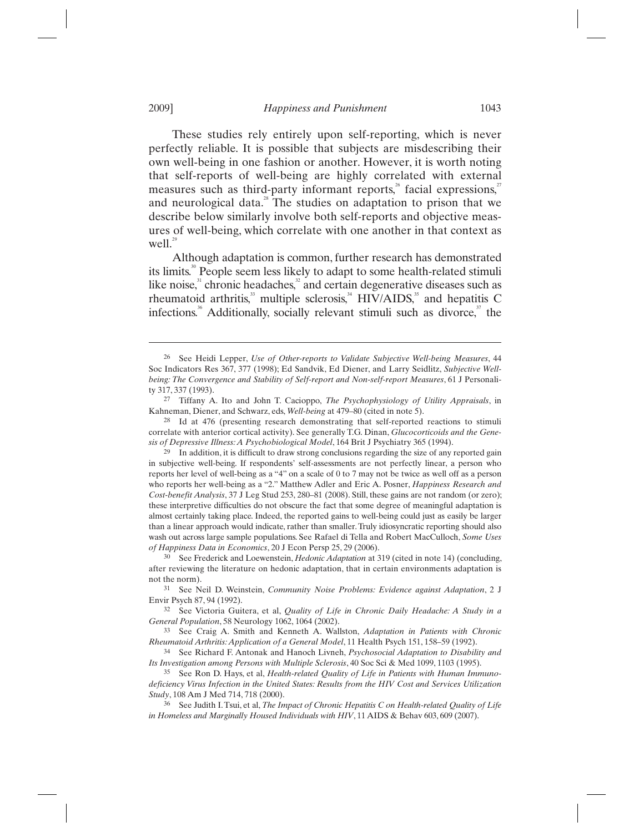These studies rely entirely upon self-reporting, which is never perfectly reliable. It is possible that subjects are misdescribing their own well-being in one fashion or another. However, it is worth noting that self-reports of well-being are highly correlated with external measures such as third-party informant reports, $\delta$  facial expressions, $\delta$ and neurological data.<sup>28</sup> The studies on adaptation to prison that we describe below similarly involve both self-reports and objective measures of well-being, which correlate with one another in that context as well.<sup>29</sup>

Although adaptation is common, further research has demonstrated its limits.<sup>30</sup> People seem less likely to adapt to some health-related stimuli like noise, $31$  chronic headaches, $32$  and certain degenerative diseases such as rheumatoid arthritis, $33$  multiple sclerosis, $34$  HIV/AIDS, $35$  and hepatitis C infections.<sup>36</sup> Additionally, socially relevant stimuli such as divorce, $37$  the

<sup>26</sup> See Heidi Lepper, *Use of Other-reports to Validate Subjective Well-being Measures*, 44 Soc Indicators Res 367, 377 (1998); Ed Sandvik, Ed Diener, and Larry Seidlitz, *Subjective Wellbeing: The Convergence and Stability of Self-report and Non-self-report Measures*, 61 J Personality 317, 337 (1993).

<sup>27</sup> Tiffany A. Ito and John T. Cacioppo, *The Psychophysiology of Utility Appraisals*, in Kahneman, Diener, and Schwarz, eds, *Well-being* at 479–80 (cited in note 5).

<sup>28</sup> Id at 476 (presenting research demonstrating that self-reported reactions to stimuli correlate with anterior cortical activity). See generally T.G. Dinan, *Glucocorticoids and the Genesis of Depressive Illness: A Psychobiological Model*, 164 Brit J Psychiatry 365 (1994).

<sup>29</sup> In addition, it is difficult to draw strong conclusions regarding the size of any reported gain in subjective well-being. If respondents' self-assessments are not perfectly linear, a person who reports her level of well-being as a "4" on a scale of 0 to 7 may not be twice as well off as a person who reports her well-being as a "2." Matthew Adler and Eric A. Posner, *Happiness Research and Cost-benefit Analysis*, 37 J Leg Stud 253, 280–81 (2008). Still, these gains are not random (or zero); these interpretive difficulties do not obscure the fact that some degree of meaningful adaptation is almost certainly taking place. Indeed, the reported gains to well-being could just as easily be larger than a linear approach would indicate, rather than smaller. Truly idiosyncratic reporting should also wash out across large sample populations. See Rafael di Tella and Robert MacCulloch, *Some Uses of Happiness Data in Economics*, 20 J Econ Persp 25, 29 (2006).

<sup>30</sup> See Frederick and Loewenstein, *Hedonic Adaptation* at 319 (cited in note 14) (concluding, after reviewing the literature on hedonic adaptation, that in certain environments adaptation is not the norm).

<sup>31</sup> See Neil D. Weinstein, *Community Noise Problems: Evidence against Adaptation*, 2 J Envir Psych 87, 94 (1992).

<sup>32</sup> See Victoria Guitera, et al, *Quality of Life in Chronic Daily Headache: A Study in a General Population*, 58 Neurology 1062, 1064 (2002).

<sup>33</sup> See Craig A. Smith and Kenneth A. Wallston, *Adaptation in Patients with Chronic Rheumatoid Arthritis: Application of a General Model*, 11 Health Psych 151, 158–59 (1992).

<sup>34</sup> See Richard F. Antonak and Hanoch Livneh, *Psychosocial Adaptation to Disability and Its Investigation among Persons with Multiple Sclerosis*, 40 Soc Sci & Med 1099, 1103 (1995).

<sup>35</sup> See Ron D. Hays, et al, *Health-related Quality of Life in Patients with Human Immunodeficiency Virus Infection in the United States: Results from the HIV Cost and Services Utilization Study*, 108 Am J Med 714, 718 (2000).

<sup>36</sup> See Judith I. Tsui, et al, *The Impact of Chronic Hepatitis C on Health-related Quality of Life in Homeless and Marginally Housed Individuals with HIV*, 11 AIDS & Behav 603, 609 (2007).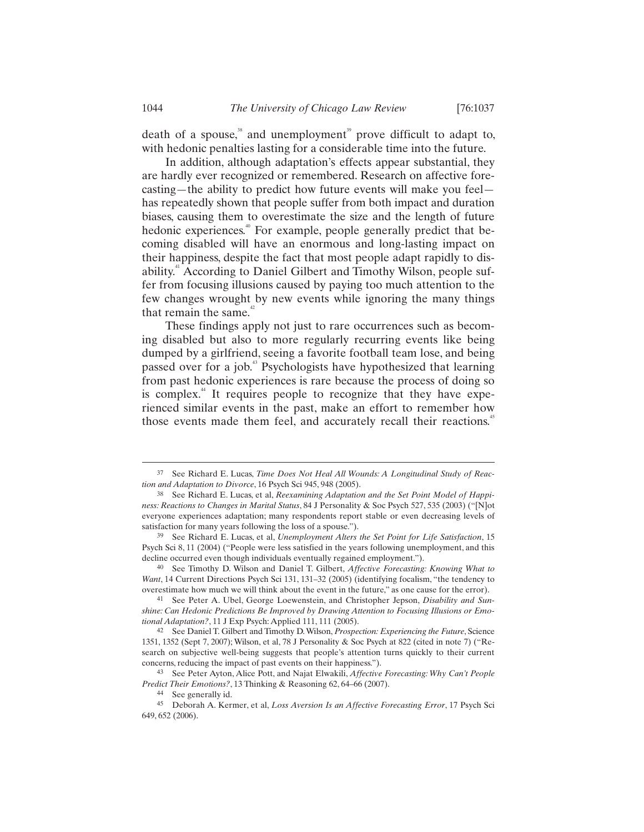death of a spouse, $38$  and unemployment<sup>39</sup> prove difficult to adapt to, with hedonic penalties lasting for a considerable time into the future.

In addition, although adaptation's effects appear substantial, they are hardly ever recognized or remembered. Research on affective forecasting—the ability to predict how future events will make you feel has repeatedly shown that people suffer from both impact and duration biases, causing them to overestimate the size and the length of future hedonic experiences.<sup>40</sup> For example, people generally predict that becoming disabled will have an enormous and long-lasting impact on their happiness, despite the fact that most people adapt rapidly to disability.<sup>41</sup> According to Daniel Gilbert and Timothy Wilson, people suffer from focusing illusions caused by paying too much attention to the few changes wrought by new events while ignoring the many things that remain the same. $42$ 

These findings apply not just to rare occurrences such as becoming disabled but also to more regularly recurring events like being dumped by a girlfriend, seeing a favorite football team lose, and being passed over for a job.<sup>43</sup> Psychologists have hypothesized that learning from past hedonic experiences is rare because the process of doing so is complex<sup>44</sup> It requires people to recognize that they have experienced similar events in the past, make an effort to remember how those events made them feel, and accurately recall their reactions.<sup>45</sup>

 <sup>37</sup> See Richard E. Lucas, *Time Does Not Heal All Wounds: A Longitudinal Study of Reaction and Adaptation to Divorce*, 16 Psych Sci 945, 948 (2005).

<sup>38</sup> See Richard E. Lucas, et al, *Reexamining Adaptation and the Set Point Model of Happiness: Reactions to Changes in Marital Status*, 84 J Personality & Soc Psych 527, 535 (2003) ("[N]ot everyone experiences adaptation; many respondents report stable or even decreasing levels of satisfaction for many years following the loss of a spouse.").

<sup>39</sup> See Richard E. Lucas, et al, *Unemployment Alters the Set Point for Life Satisfaction*, 15 Psych Sci 8, 11 (2004) ("People were less satisfied in the years following unemployment, and this decline occurred even though individuals eventually regained employment.").

<sup>40</sup> See Timothy D. Wilson and Daniel T. Gilbert, *Affective Forecasting: Knowing What to Want*, 14 Current Directions Psych Sci 131, 131–32 (2005) (identifying focalism, "the tendency to overestimate how much we will think about the event in the future," as one cause for the error).

<sup>41</sup> See Peter A. Ubel, George Loewenstein, and Christopher Jepson, *Disability and Sunshine: Can Hedonic Predictions Be Improved by Drawing Attention to Focusing Illusions or Emotional Adaptation?*, 11 J Exp Psych: Applied 111, 111 (2005).

<sup>42</sup> See Daniel T. Gilbert and Timothy D. Wilson, *Prospection: Experiencing the Future*, Science 1351, 1352 (Sept 7, 2007); Wilson, et al, 78 J Personality & Soc Psych at 822 (cited in note 7) ("Research on subjective well-being suggests that people's attention turns quickly to their current concerns, reducing the impact of past events on their happiness.").

<sup>43</sup> See Peter Ayton, Alice Pott, and Najat Elwakili, *Affective Forecasting: Why Can't People Predict Their Emotions?*, 13 Thinking & Reasoning 62, 64–66 (2007).

<sup>44</sup> See generally id.

<sup>45</sup> Deborah A. Kermer, et al, *Loss Aversion Is an Affective Forecasting Error*, 17 Psych Sci 649, 652 (2006).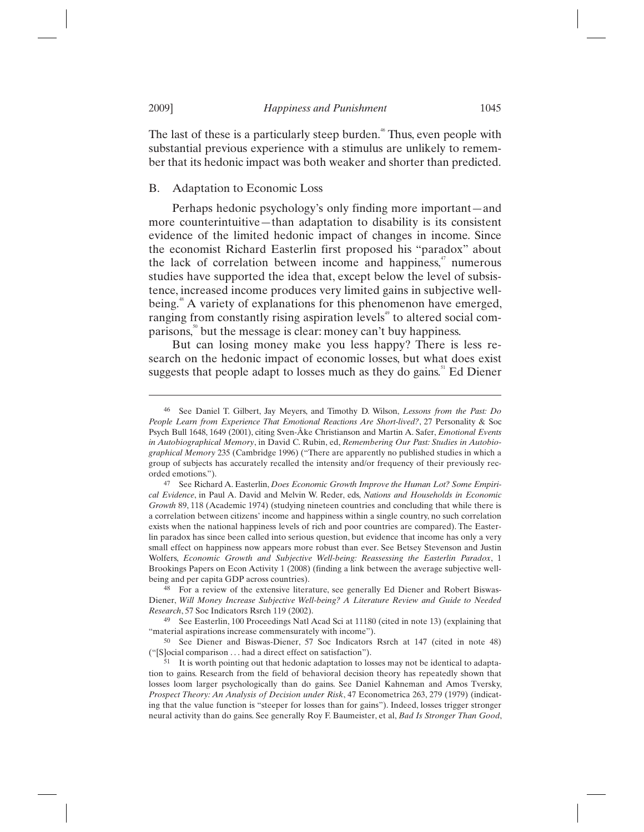The last of these is a particularly steep burden.<sup>46</sup> Thus, even people with substantial previous experience with a stimulus are unlikely to remember that its hedonic impact was both weaker and shorter than predicted.

#### B. Adaptation to Economic Loss

Perhaps hedonic psychology's only finding more important—and more counterintuitive—than adaptation to disability is its consistent evidence of the limited hedonic impact of changes in income. Since the economist Richard Easterlin first proposed his "paradox" about the lack of correlation between income and happiness,<sup>47</sup> numerous studies have supported the idea that, except below the level of subsistence, increased income produces very limited gains in subjective wellbeing.<sup>48</sup> A variety of explanations for this phenomenon have emerged, ranging from constantly rising aspiration levels<sup>49</sup> to altered social comparisons,<sup>30</sup> but the message is clear: money can't buy happiness.

But can losing money make you less happy? There is less research on the hedonic impact of economic losses, but what does exist suggests that people adapt to losses much as they do gains. $1$  Ed Diener

<sup>46</sup> See Daniel T. Gilbert, Jay Meyers, and Timothy D. Wilson, *Lessons from the Past: Do People Learn from Experience That Emotional Reactions Are Short-lived?*, 27 Personality & Soc Psych Bull 1648, 1649 (2001), citing Sven-Åke Christianson and Martin A. Safer, *Emotional Events in Autobiographical Memory*, in David C. Rubin, ed, *Remembering Our Past: Studies in Autobiographical Memory* 235 (Cambridge 1996) ("There are apparently no published studies in which a group of subjects has accurately recalled the intensity and/or frequency of their previously recorded emotions.").

<sup>47</sup> See Richard A. Easterlin, *Does Economic Growth Improve the Human Lot? Some Empirical Evidence*, in Paul A. David and Melvin W. Reder, eds, *Nations and Households in Economic Growth* 89, 118 (Academic 1974) (studying nineteen countries and concluding that while there is a correlation between citizens' income and happiness within a single country, no such correlation exists when the national happiness levels of rich and poor countries are compared). The Easterlin paradox has since been called into serious question, but evidence that income has only a very small effect on happiness now appears more robust than ever. See Betsey Stevenson and Justin Wolfers, *Economic Growth and Subjective Well-being: Reassessing the Easterlin Paradox*, 1 Brookings Papers on Econ Activity 1 (2008) (finding a link between the average subjective wellbeing and per capita GDP across countries).

<sup>&</sup>lt;sup>48</sup> For a review of the extensive literature, see generally Ed Diener and Robert Biswas-Diener, *Will Money Increase Subjective Well-being? A Literature Review and Guide to Needed Research*, 57 Soc Indicators Rsrch 119 (2002).

<sup>49</sup> See Easterlin, 100 Proceedings Natl Acad Sci at 11180 (cited in note 13) (explaining that "material aspirations increase commensurately with income").

<sup>50</sup> See Diener and Biswas-Diener, 57 Soc Indicators Rsrch at 147 (cited in note 48) ("[S]ocial comparison . . . had a direct effect on satisfaction").

<sup>&</sup>lt;sup>51</sup> It is worth pointing out that hedonic adaptation to losses may not be identical to adaptation to gains. Research from the field of behavioral decision theory has repeatedly shown that losses loom larger psychologically than do gains. See Daniel Kahneman and Amos Tversky, *Prospect Theory: An Analysis of Decision under Risk*, 47 Econometrica 263, 279 (1979) (indicating that the value function is "steeper for losses than for gains"). Indeed, losses trigger stronger neural activity than do gains. See generally Roy F. Baumeister, et al, *Bad Is Stronger Than Good*,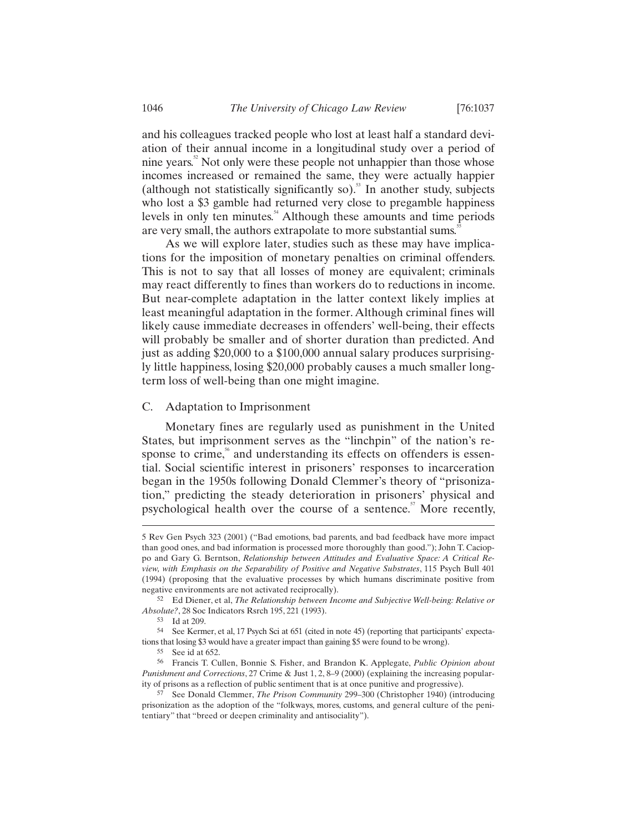and his colleagues tracked people who lost at least half a standard deviation of their annual income in a longitudinal study over a period of nine years.<sup>52</sup> Not only were these people not unhappier than those whose incomes increased or remained the same, they were actually happier (although not statistically significantly so).<sup>33</sup> In another study, subjects who lost a \$3 gamble had returned very close to pregamble happiness levels in only ten minutes.<sup>54</sup> Although these amounts and time periods are very small, the authors extrapolate to more substantial sums.<sup>5</sup>

As we will explore later, studies such as these may have implications for the imposition of monetary penalties on criminal offenders. This is not to say that all losses of money are equivalent; criminals may react differently to fines than workers do to reductions in income. But near-complete adaptation in the latter context likely implies at least meaningful adaptation in the former. Although criminal fines will likely cause immediate decreases in offenders' well-being, their effects will probably be smaller and of shorter duration than predicted. And just as adding \$20,000 to a \$100,000 annual salary produces surprisingly little happiness, losing \$20,000 probably causes a much smaller longterm loss of well-being than one might imagine.

## C. Adaptation to Imprisonment

Monetary fines are regularly used as punishment in the United States, but imprisonment serves as the "linchpin" of the nation's response to crime,<sup>56</sup> and understanding its effects on offenders is essential. Social scientific interest in prisoners' responses to incarceration began in the 1950s following Donald Clemmer's theory of "prisonization," predicting the steady deterioration in prisoners' physical and psychological health over the course of a sentence.<sup> $5\text{ }$ </sup> More recently,

<sup>5</sup> Rev Gen Psych 323 (2001) ("Bad emotions, bad parents, and bad feedback have more impact than good ones, and bad information is processed more thoroughly than good."); John T. Cacioppo and Gary G. Berntson, *Relationship between Attitudes and Evaluative Space: A Critical Review, with Emphasis on the Separability of Positive and Negative Substrates*, 115 Psych Bull 401 (1994) (proposing that the evaluative processes by which humans discriminate positive from negative environments are not activated reciprocally).

<sup>52</sup> Ed Diener, et al, *The Relationship between Income and Subjective Well-being: Relative or Absolute?*, 28 Soc Indicators Rsrch 195, 221 (1993).

<sup>53</sup> Id at 209.

<sup>54</sup> See Kermer, et al, 17 Psych Sci at 651 (cited in note 45) (reporting that participants' expectations that losing \$3 would have a greater impact than gaining \$5 were found to be wrong).

<sup>55</sup> See id at 652.

<sup>56</sup> Francis T. Cullen, Bonnie S. Fisher, and Brandon K. Applegate, *Public Opinion about Punishment and Corrections*, 27 Crime & Just 1, 2, 8–9 (2000) (explaining the increasing popularity of prisons as a reflection of public sentiment that is at once punitive and progressive).

<sup>57</sup> See Donald Clemmer, *The Prison Community* 299–300 (Christopher 1940) (introducing prisonization as the adoption of the "folkways, mores, customs, and general culture of the penitentiary" that "breed or deepen criminality and antisociality").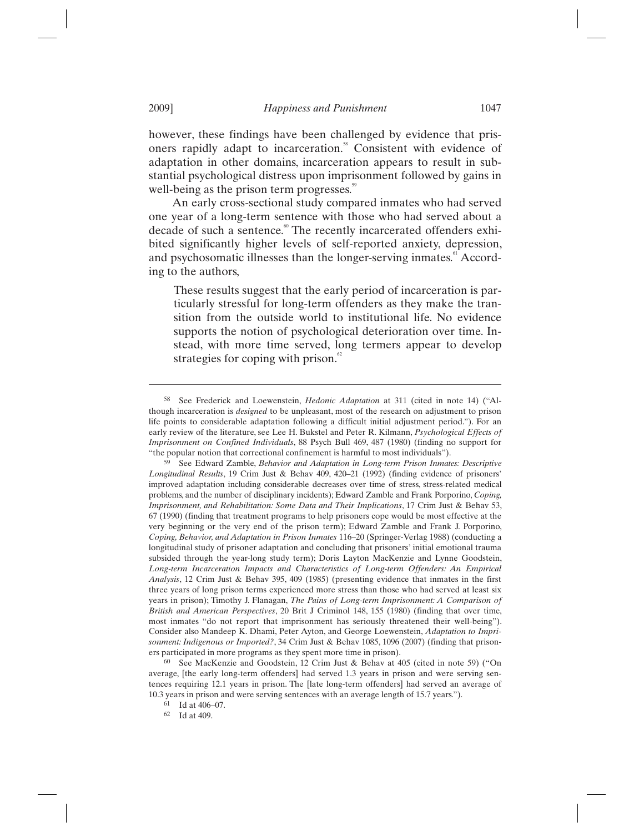however, these findings have been challenged by evidence that prisoners rapidly adapt to incarceration.<sup>88</sup> Consistent with evidence of adaptation in other domains, incarceration appears to result in substantial psychological distress upon imprisonment followed by gains in well-being as the prison term progresses.<sup>99</sup>

An early cross-sectional study compared inmates who had served one year of a long-term sentence with those who had served about a decade of such a sentence.<sup>®</sup> The recently incarcerated offenders exhibited significantly higher levels of self-reported anxiety, depression, and psychosomatic illnesses than the longer-serving inmates. According to the authors,

These results suggest that the early period of incarceration is particularly stressful for long-term offenders as they make the transition from the outside world to institutional life. No evidence supports the notion of psychological deterioration over time. Instead, with more time served, long termers appear to develop strategies for coping with prison.<sup>6</sup>

<sup>58</sup> See Frederick and Loewenstein, *Hedonic Adaptation* at 311 (cited in note 14) ("Although incarceration is *designed* to be unpleasant, most of the research on adjustment to prison life points to considerable adaptation following a difficult initial adjustment period."). For an early review of the literature, see Lee H. Bukstel and Peter R. Kilmann, *Psychological Effects of Imprisonment on Confined Individuals*, 88 Psych Bull 469, 487 (1980) (finding no support for "the popular notion that correctional confinement is harmful to most individuals").

<sup>59</sup> See Edward Zamble, *Behavior and Adaptation in Long-term Prison Inmates: Descriptive Longitudinal Results*, 19 Crim Just & Behav 409, 420–21 (1992) (finding evidence of prisoners' improved adaptation including considerable decreases over time of stress, stress-related medical problems, and the number of disciplinary incidents); Edward Zamble and Frank Porporino, *Coping, Imprisonment, and Rehabilitation: Some Data and Their Implications*, 17 Crim Just & Behav 53, 67 (1990) (finding that treatment programs to help prisoners cope would be most effective at the very beginning or the very end of the prison term); Edward Zamble and Frank J. Porporino, *Coping, Behavior, and Adaptation in Prison Inmates* 116–20 (Springer-Verlag 1988) (conducting a longitudinal study of prisoner adaptation and concluding that prisoners' initial emotional trauma subsided through the year-long study term); Doris Layton MacKenzie and Lynne Goodstein, *Long-term Incarceration Impacts and Characteristics of Long-term Offenders: An Empirical Analysis*, 12 Crim Just & Behav 395, 409 (1985) (presenting evidence that inmates in the first three years of long prison terms experienced more stress than those who had served at least six years in prison); Timothy J. Flanagan, *The Pains of Long-term Imprisonment: A Comparison of British and American Perspectives*, 20 Brit J Criminol 148, 155 (1980) (finding that over time, most inmates "do not report that imprisonment has seriously threatened their well-being"). Consider also Mandeep K. Dhami, Peter Ayton, and George Loewenstein, *Adaptation to Imprisonment: Indigenous or Imported?*, 34 Crim Just & Behav 1085, 1096 (2007) (finding that prisoners participated in more programs as they spent more time in prison).

<sup>60</sup> See MacKenzie and Goodstein, 12 Crim Just & Behav at 405 (cited in note 59) ("On average, [the early long-term offenders] had served 1.3 years in prison and were serving sentences requiring 12.1 years in prison. The [late long-term offenders] had served an average of 10.3 years in prison and were serving sentences with an average length of 15.7 years.").

<sup>61</sup> Id at 406–07.

<sup>62</sup> Id at 409.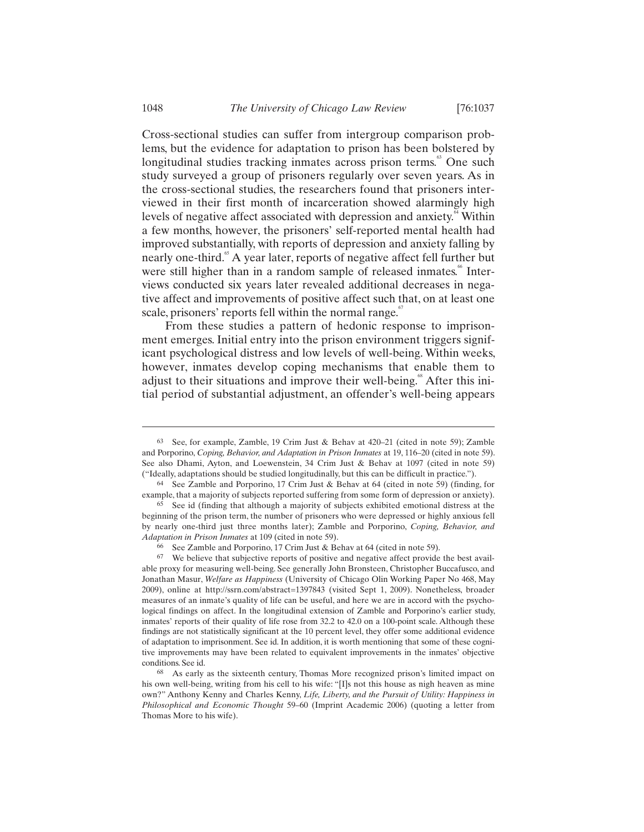Cross-sectional studies can suffer from intergroup comparison problems, but the evidence for adaptation to prison has been bolstered by longitudinal studies tracking inmates across prison terms.<sup>63</sup> One such study surveyed a group of prisoners regularly over seven years. As in the cross-sectional studies, the researchers found that prisoners interviewed in their first month of incarceration showed alarmingly high levels of negative affect associated with depression and anxiety.<sup>64</sup> Within a few months, however, the prisoners' self-reported mental health had improved substantially, with reports of depression and anxiety falling by nearly one-third.<sup>65</sup> A year later, reports of negative affect fell further but were still higher than in a random sample of released inmates.<sup>66</sup> Interviews conducted six years later revealed additional decreases in negative affect and improvements of positive affect such that, on at least one scale, prisoners' reports fell within the normal range. $\degree$ 

From these studies a pattern of hedonic response to imprisonment emerges. Initial entry into the prison environment triggers significant psychological distress and low levels of well-being. Within weeks, however, inmates develop coping mechanisms that enable them to adjust to their situations and improve their well-being.<sup>88</sup> After this initial period of substantial adjustment, an offender's well-being appears

<sup>63</sup> See, for example, Zamble, 19 Crim Just & Behav at 420–21 (cited in note 59); Zamble and Porporino, *Coping, Behavior, and Adaptation in Prison Inmates* at 19, 116–20 (cited in note 59). See also Dhami, Ayton, and Loewenstein, 34 Crim Just & Behav at 1097 (cited in note 59) ("Ideally, adaptations should be studied longitudinally, but this can be difficult in practice.").

<sup>64</sup> See Zamble and Porporino, 17 Crim Just & Behav at 64 (cited in note 59) (finding, for example, that a majority of subjects reported suffering from some form of depression or anxiety).

<sup>65</sup> See id (finding that although a majority of subjects exhibited emotional distress at the beginning of the prison term, the number of prisoners who were depressed or highly anxious fell by nearly one-third just three months later); Zamble and Porporino, *Coping, Behavior, and Adaptation in Prison Inmates* at 109 (cited in note 59).

<sup>66</sup> See Zamble and Porporino, 17 Crim Just & Behav at 64 (cited in note 59).

<sup>67</sup> We believe that subjective reports of positive and negative affect provide the best available proxy for measuring well-being. See generally John Bronsteen, Christopher Buccafusco, and Jonathan Masur, *Welfare as Happiness* (University of Chicago Olin Working Paper No 468, May 2009), online at http://ssrn.com/abstract=1397843 (visited Sept 1, 2009). Nonetheless, broader measures of an inmate's quality of life can be useful, and here we are in accord with the psychological findings on affect. In the longitudinal extension of Zamble and Porporino's earlier study, inmates' reports of their quality of life rose from 32.2 to 42.0 on a 100-point scale. Although these findings are not statistically significant at the 10 percent level, they offer some additional evidence of adaptation to imprisonment. See id. In addition, it is worth mentioning that some of these cognitive improvements may have been related to equivalent improvements in the inmates' objective conditions. See id.

<sup>68</sup> As early as the sixteenth century, Thomas More recognized prison's limited impact on his own well-being, writing from his cell to his wife: "[I]s not this house as nigh heaven as mine own?" Anthony Kenny and Charles Kenny, *Life, Liberty, and the Pursuit of Utility: Happiness in Philosophical and Economic Thought* 59–60 (Imprint Academic 2006) (quoting a letter from Thomas More to his wife).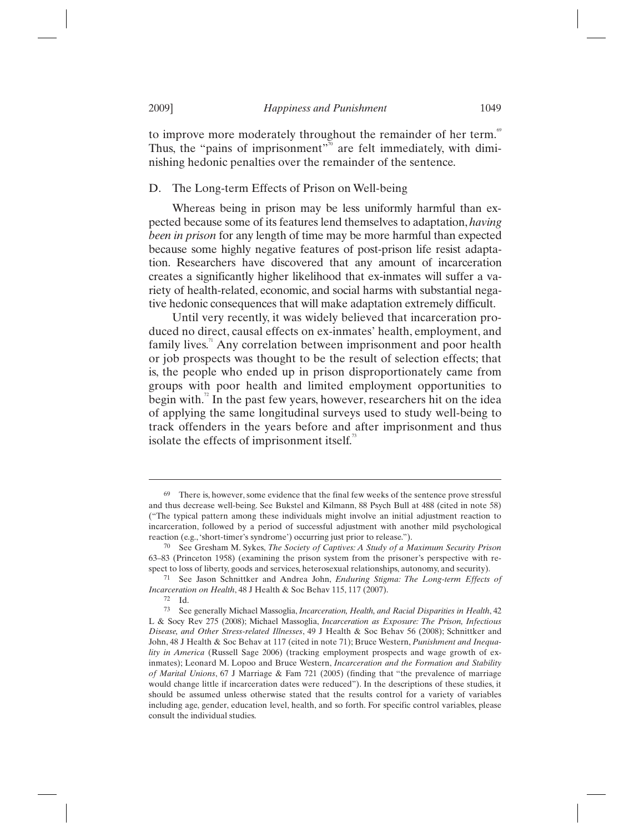to improve more moderately throughout the remainder of her term.<sup>69</sup> Thus, the "pains of imprisonment"<sup> $70$ </sup> are felt immediately, with diminishing hedonic penalties over the remainder of the sentence.

#### D. The Long-term Effects of Prison on Well-being

Whereas being in prison may be less uniformly harmful than expected because some of its features lend themselves to adaptation, *having been in prison* for any length of time may be more harmful than expected because some highly negative features of post-prison life resist adaptation. Researchers have discovered that any amount of incarceration creates a significantly higher likelihood that ex-inmates will suffer a variety of health-related, economic, and social harms with substantial negative hedonic consequences that will make adaptation extremely difficult.

Until very recently, it was widely believed that incarceration produced no direct, causal effects on ex-inmates' health, employment, and family lives.<sup>11</sup> Any correlation between imprisonment and poor health or job prospects was thought to be the result of selection effects; that is, the people who ended up in prison disproportionately came from groups with poor health and limited employment opportunities to begin with.<sup>2</sup> In the past few years, however, researchers hit on the idea of applying the same longitudinal surveys used to study well-being to track offenders in the years before and after imprisonment and thus isolate the effects of imprisonment itself.<sup>73</sup>

<sup>69</sup> There is, however, some evidence that the final few weeks of the sentence prove stressful and thus decrease well-being. See Bukstel and Kilmann, 88 Psych Bull at 488 (cited in note 58) ("The typical pattern among these individuals might involve an initial adjustment reaction to incarceration, followed by a period of successful adjustment with another mild psychological reaction (e.g., 'short-timer's syndrome') occurring just prior to release.").

<sup>70</sup> See Gresham M. Sykes, *The Society of Captives: A Study of a Maximum Security Prison* 63–83 (Princeton 1958) (examining the prison system from the prisoner's perspective with respect to loss of liberty, goods and services, heterosexual relationships, autonomy, and security).

<sup>71</sup> See Jason Schnittker and Andrea John, *Enduring Stigma: The Long-term Effects of Incarceration on Health*, 48 J Health & Soc Behav 115, 117 (2007).

<sup>72</sup> Id.

<sup>73</sup> See generally Michael Massoglia, *Incarceration, Health, and Racial Disparities in Health*, 42 L & Socy Rev 275 (2008); Michael Massoglia, *Incarceration as Exposure: The Prison, Infectious Disease, and Other Stress-related Illnesses*, 49 J Health & Soc Behav 56 (2008); Schnittker and John, 48 J Health & Soc Behav at 117 (cited in note 71); Bruce Western, *Punishment and Inequality in America* (Russell Sage 2006) (tracking employment prospects and wage growth of exinmates); Leonard M. Lopoo and Bruce Western, *Incarceration and the Formation and Stability of Marital Unions*, 67 J Marriage & Fam 721 (2005) (finding that "the prevalence of marriage would change little if incarceration dates were reduced"). In the descriptions of these studies, it should be assumed unless otherwise stated that the results control for a variety of variables including age, gender, education level, health, and so forth. For specific control variables, please consult the individual studies.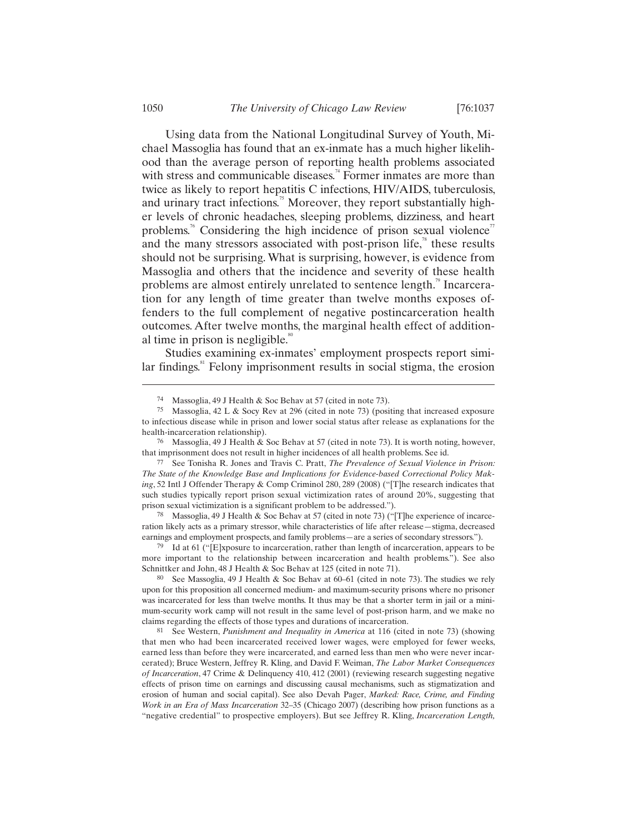Using data from the National Longitudinal Survey of Youth, Michael Massoglia has found that an ex-inmate has a much higher likelihood than the average person of reporting health problems associated with stress and communicable diseases.<sup> $\lambda$ </sup> Former inmates are more than twice as likely to report hepatitis C infections, HIV/AIDS, tuberculosis, and urinary tract infections.<sup> $5\text{ }$ </sup> Moreover, they report substantially higher levels of chronic headaches, sleeping problems, dizziness, and heart problems.<sup>76</sup> Considering the high incidence of prison sexual violence<sup>77</sup> and the many stressors associated with post-prison life, $\alpha$ <sup>8</sup> these results should not be surprising. What is surprising, however, is evidence from Massoglia and others that the incidence and severity of these health problems are almost entirely unrelated to sentence length.<sup>79</sup> Incarceration for any length of time greater than twelve months exposes offenders to the full complement of negative postincarceration health outcomes. After twelve months, the marginal health effect of additional time in prison is negligible. $\degree$ 

Studies examining ex-inmates' employment prospects report simi- $\alpha$  lar findings.<sup>81</sup> Felony imprisonment results in social stigma, the erosion

78 Massoglia, 49 J Health & Soc Behav at 57 (cited in note 73) ("[T]he experience of incarceration likely acts as a primary stressor, while characteristics of life after release—stigma, decreased earnings and employment prospects, and family problems—are a series of secondary stressors.").

79 Id at 61 ("[E]xposure to incarceration, rather than length of incarceration, appears to be more important to the relationship between incarceration and health problems."). See also Schnittker and John, 48 J Health & Soc Behav at 125 (cited in note 71).

80 See Massoglia, 49 J Health & Soc Behav at 60–61 (cited in note 73). The studies we rely upon for this proposition all concerned medium- and maximum-security prisons where no prisoner was incarcerated for less than twelve months. It thus may be that a shorter term in jail or a minimum-security work camp will not result in the same level of post-prison harm, and we make no claims regarding the effects of those types and durations of incarceration.

81 See Western, *Punishment and Inequality in America* at 116 (cited in note 73) (showing that men who had been incarcerated received lower wages, were employed for fewer weeks, earned less than before they were incarcerated, and earned less than men who were never incarcerated); Bruce Western, Jeffrey R. Kling, and David F. Weiman, *The Labor Market Consequences of Incarceration*, 47 Crime & Delinquency 410, 412 (2001) (reviewing research suggesting negative effects of prison time on earnings and discussing causal mechanisms, such as stigmatization and erosion of human and social capital). See also Devah Pager, *Marked: Race, Crime, and Finding Work in an Era of Mass Incarceration* 32–35 (Chicago 2007) (describing how prison functions as a "negative credential" to prospective employers). But see Jeffrey R. Kling, *Incarceration Length,* 

<sup>74</sup> Massoglia, 49 J Health & Soc Behav at 57 (cited in note 73).

<sup>75</sup> Massoglia, 42 L & Socy Rev at 296 (cited in note 73) (positing that increased exposure to infectious disease while in prison and lower social status after release as explanations for the health-incarceration relationship).

<sup>&</sup>lt;sup>76</sup> Massoglia, 49 J Health & Soc Behav at 57 (cited in note 73). It is worth noting, however, that imprisonment does not result in higher incidences of all health problems. See id.

<sup>77</sup> See Tonisha R. Jones and Travis C. Pratt, *The Prevalence of Sexual Violence in Prison: The State of the Knowledge Base and Implications for Evidence-based Correctional Policy Making*, 52 Intl J Offender Therapy & Comp Criminol 280, 289 (2008) ("[T]he research indicates that such studies typically report prison sexual victimization rates of around 20%, suggesting that prison sexual victimization is a significant problem to be addressed.").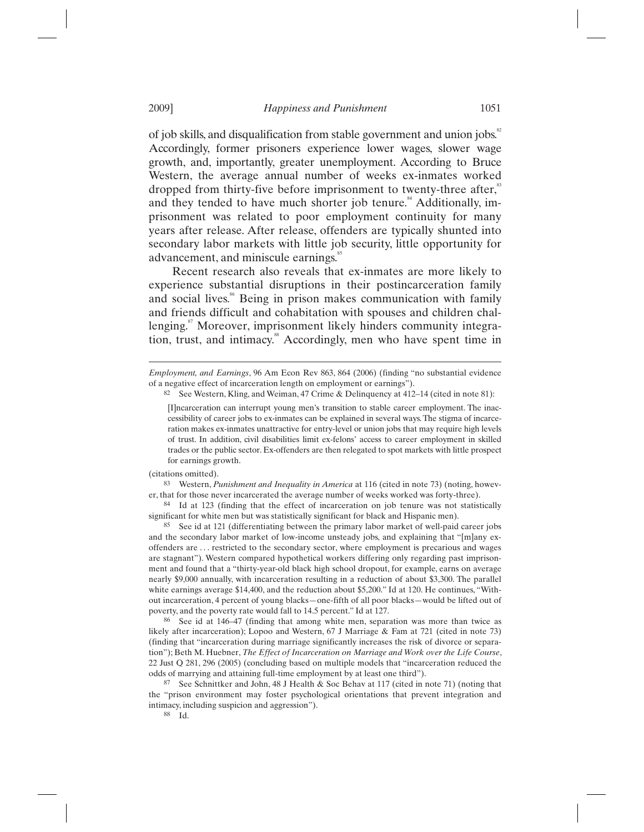of job skills, and disqualification from stable government and union jobs.<sup>82</sup> Accordingly, former prisoners experience lower wages, slower wage growth, and, importantly, greater unemployment. According to Bruce Western, the average annual number of weeks ex-inmates worked dropped from thirty-five before imprisonment to twenty-three after,<sup>83</sup> and they tended to have much shorter job tenure.<sup>84</sup> Additionally, imprisonment was related to poor employment continuity for many years after release. After release, offenders are typically shunted into secondary labor markets with little job security, little opportunity for advancement, and miniscule earnings.

Recent research also reveals that ex-inmates are more likely to experience substantial disruptions in their postincarceration family and social lives.<sup>86</sup> Being in prison makes communication with family and friends difficult and cohabitation with spouses and children challenging.<sup>87</sup> Moreover, imprisonment likely hinders community integration, trust, and intimacy.<sup>88</sup> Accordingly, men who have spent time in

(citations omitted).

 $\overline{a}$ 

83 Western, *Punishment and Inequality in America* at 116 (cited in note 73) (noting, however, that for those never incarcerated the average number of weeks worked was forty-three).

84 Id at 123 (finding that the effect of incarceration on job tenure was not statistically significant for white men but was statistically significant for black and Hispanic men).

85 See id at 121 (differentiating between the primary labor market of well-paid career jobs and the secondary labor market of low-income unsteady jobs, and explaining that "[m]any exoffenders are . . . restricted to the secondary sector, where employment is precarious and wages are stagnant"). Western compared hypothetical workers differing only regarding past imprisonment and found that a "thirty-year-old black high school dropout, for example, earns on average nearly \$9,000 annually, with incarceration resulting in a reduction of about \$3,300. The parallel white earnings average \$14,400, and the reduction about \$5,200." Id at 120. He continues, "Without incarceration, 4 percent of young blacks—one-fifth of all poor blacks—would be lifted out of poverty, and the poverty rate would fall to 14.5 percent." Id at 127.

86 See id at 146–47 (finding that among white men, separation was more than twice as likely after incarceration); Lopoo and Western, 67 J Marriage & Fam at 721 (cited in note 73) (finding that "incarceration during marriage significantly increases the risk of divorce or separation"); Beth M. Huebner, *The Effect of Incarceration on Marriage and Work over the Life Course*, 22 Just Q 281, 296 (2005) (concluding based on multiple models that "incarceration reduced the odds of marrying and attaining full-time employment by at least one third").

87 See Schnittker and John, 48 J Health & Soc Behav at 117 (cited in note 71) (noting that the "prison environment may foster psychological orientations that prevent integration and intimacy, including suspicion and aggression").

88 Id.

*Employment, and Earnings*, 96 Am Econ Rev 863, 864 (2006) (finding "no substantial evidence of a negative effect of incarceration length on employment or earnings").

See Western, Kling, and Weiman, 47 Crime & Delinquency at 412–14 (cited in note 81):

<sup>[</sup>I]ncarceration can interrupt young men's transition to stable career employment. The inaccessibility of career jobs to ex-inmates can be explained in several ways. The stigma of incarceration makes ex-inmates unattractive for entry-level or union jobs that may require high levels of trust. In addition, civil disabilities limit ex-felons' access to career employment in skilled trades or the public sector. Ex-offenders are then relegated to spot markets with little prospect for earnings growth.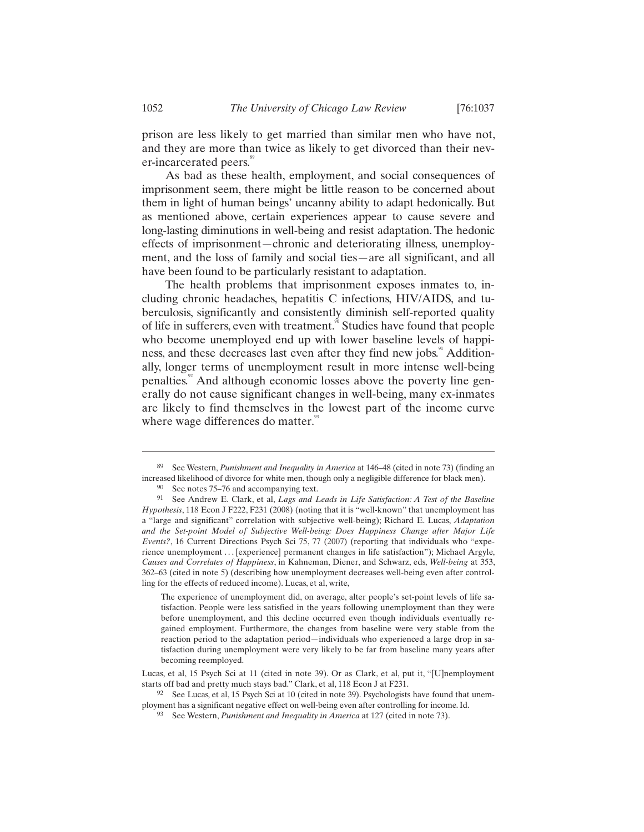prison are less likely to get married than similar men who have not, and they are more than twice as likely to get divorced than their never-incarcerated peers.<sup>89</sup>

As bad as these health, employment, and social consequences of imprisonment seem, there might be little reason to be concerned about them in light of human beings' uncanny ability to adapt hedonically. But as mentioned above, certain experiences appear to cause severe and long-lasting diminutions in well-being and resist adaptation. The hedonic effects of imprisonment—chronic and deteriorating illness, unemployment, and the loss of family and social ties—are all significant, and all have been found to be particularly resistant to adaptation.

The health problems that imprisonment exposes inmates to, including chronic headaches, hepatitis C infections, HIV/AIDS, and tuberculosis, significantly and consistently diminish self-reported quality of life in sufferers, even with treatment.<sup>90</sup> Studies have found that people who become unemployed end up with lower baseline levels of happiness, and these decreases last even after they find new jobs.<sup>91</sup> Additionally, longer terms of unemployment result in more intense well-being penalties.<sup>92</sup> And although economic losses above the poverty line generally do not cause significant changes in well-being, many ex-inmates are likely to find themselves in the lowest part of the income curve where wage differences do matter.<sup>93</sup>

The experience of unemployment did, on average, alter people's set-point levels of life satisfaction. People were less satisfied in the years following unemployment than they were before unemployment, and this decline occurred even though individuals eventually regained employment. Furthermore, the changes from baseline were very stable from the reaction period to the adaptation period—individuals who experienced a large drop in satisfaction during unemployment were very likely to be far from baseline many years after becoming reemployed.

<sup>89</sup> See Western, *Punishment and Inequality in America* at 146–48 (cited in note 73) (finding an increased likelihood of divorce for white men, though only a negligible difference for black men).

<sup>90</sup> See notes 75–76 and accompanying text.

<sup>91</sup> See Andrew E. Clark, et al, *Lags and Leads in Life Satisfaction: A Test of the Baseline Hypothesis*, 118 Econ J F222, F231 (2008) (noting that it is "well-known" that unemployment has a "large and significant" correlation with subjective well-being); Richard E. Lucas, *Adaptation and the Set-point Model of Subjective Well-being: Does Happiness Change after Major Life Events?*, 16 Current Directions Psych Sci 75, 77 (2007) (reporting that individuals who "experience unemployment . . . [experience] permanent changes in life satisfaction"); Michael Argyle, *Causes and Correlates of Happiness*, in Kahneman, Diener, and Schwarz, eds, *Well-being* at 353, 362–63 (cited in note 5) (describing how unemployment decreases well-being even after controlling for the effects of reduced income). Lucas, et al, write,

Lucas, et al, 15 Psych Sci at 11 (cited in note 39). Or as Clark, et al, put it, "[U]nemployment starts off bad and pretty much stays bad." Clark, et al, 118 Econ J at F231.

<sup>&</sup>lt;sup>92</sup> See Lucas, et al, 15 Psych Sci at 10 (cited in note 39). Psychologists have found that unemployment has a significant negative effect on well-being even after controlling for income. Id.

<sup>93</sup> See Western, *Punishment and Inequality in America* at 127 (cited in note 73).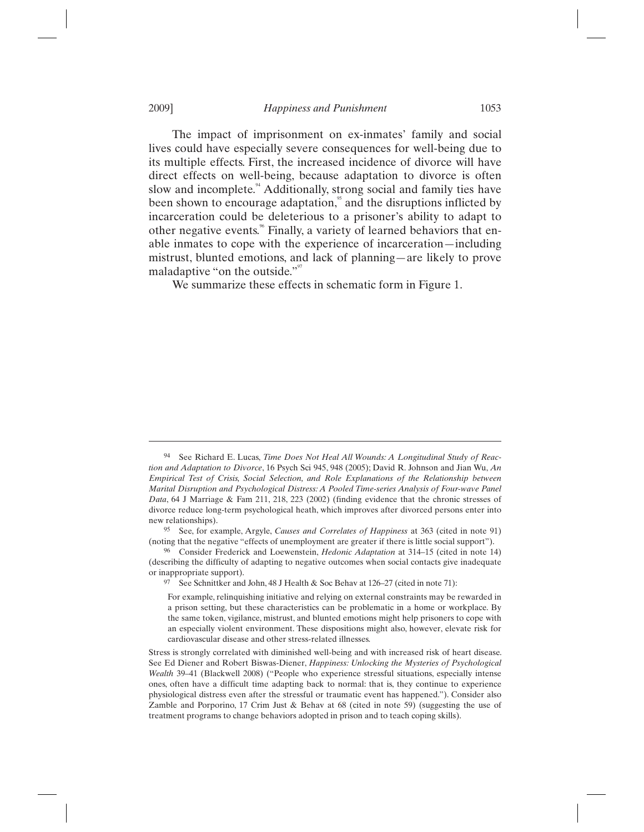The impact of imprisonment on ex-inmates' family and social lives could have especially severe consequences for well-being due to its multiple effects. First, the increased incidence of divorce will have direct effects on well-being, because adaptation to divorce is often slow and incomplete.<sup>44</sup> Additionally, strong social and family ties have been shown to encourage adaptation, $\frac{5}{3}$  and the disruptions inflicted by incarceration could be deleterious to a prisoner's ability to adapt to other negative events.<sup>86</sup> Finally, a variety of learned behaviors that enable inmates to cope with the experience of incarceration—including mistrust, blunted emotions, and lack of planning—are likely to prove maladaptive "on the outside."<sup>97</sup>

We summarize these effects in schematic form in Figure 1.

<sup>94</sup> See Richard E. Lucas, *Time Does Not Heal All Wounds: A Longitudinal Study of Reaction and Adaptation to Divorce*, 16 Psych Sci 945, 948 (2005); David R. Johnson and Jian Wu, *An Empirical Test of Crisis, Social Selection, and Role Explanations of the Relationship between Marital Disruption and Psychological Distress: A Pooled Time-series Analysis of Four-wave Panel Data*, 64 J Marriage & Fam 211, 218, 223 (2002) (finding evidence that the chronic stresses of divorce reduce long-term psychological heath, which improves after divorced persons enter into new relationships).

<sup>95</sup> See, for example, Argyle, *Causes and Correlates of Happiness* at 363 (cited in note 91) (noting that the negative "effects of unemployment are greater if there is little social support").

<sup>96</sup> Consider Frederick and Loewenstein, *Hedonic Adaptation* at 314–15 (cited in note 14) (describing the difficulty of adapting to negative outcomes when social contacts give inadequate or inappropriate support).

See Schnittker and John, 48 J Health & Soc Behav at 126–27 (cited in note 71):

For example, relinquishing initiative and relying on external constraints may be rewarded in a prison setting, but these characteristics can be problematic in a home or workplace. By the same token, vigilance, mistrust, and blunted emotions might help prisoners to cope with an especially violent environment. These dispositions might also, however, elevate risk for cardiovascular disease and other stress-related illnesses.

Stress is strongly correlated with diminished well-being and with increased risk of heart disease. See Ed Diener and Robert Biswas-Diener, *Happiness: Unlocking the Mysteries of Psychological Wealth* 39–41 (Blackwell 2008) ("People who experience stressful situations, especially intense ones, often have a difficult time adapting back to normal: that is, they continue to experience physiological distress even after the stressful or traumatic event has happened."). Consider also Zamble and Porporino, 17 Crim Just & Behav at 68 (cited in note 59) (suggesting the use of treatment programs to change behaviors adopted in prison and to teach coping skills).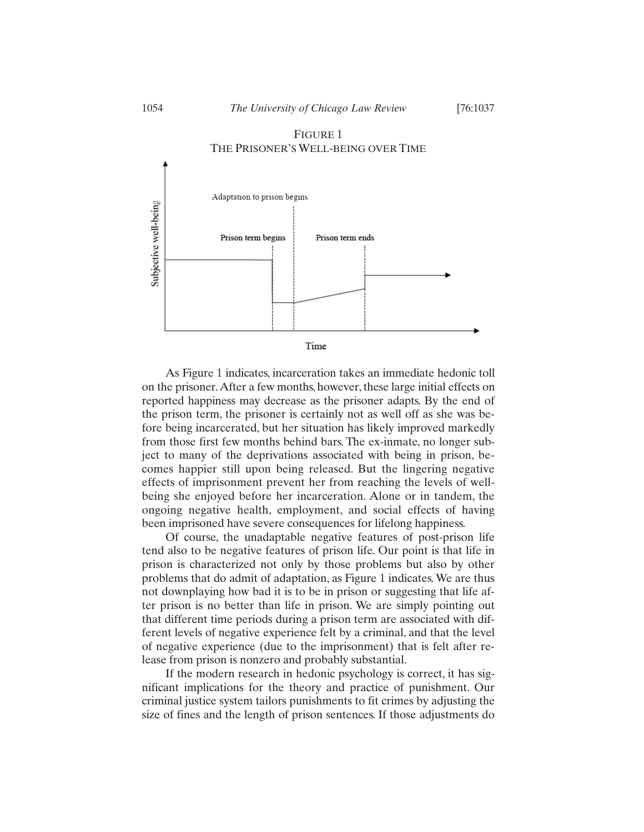

# FIGURE 1 THE PRISONER'S WELL-BEING OVER TIME



As Figure 1 indicates, incarceration takes an immediate hedonic toll on the prisoner. After a few months, however, these large initial effects on reported happiness may decrease as the prisoner adapts. By the end of the prison term, the prisoner is certainly not as well off as she was before being incarcerated, but her situation has likely improved markedly from those first few months behind bars. The ex-inmate, no longer subject to many of the deprivations associated with being in prison, becomes happier still upon being released. But the lingering negative effects of imprisonment prevent her from reaching the levels of wellbeing she enjoyed before her incarceration. Alone or in tandem, the ongoing negative health, employment, and social effects of having been imprisoned have severe consequences for lifelong happiness.

Of course, the unadaptable negative features of post-prison life tend also to be negative features of prison life. Our point is that life in prison is characterized not only by those problems but also by other problems that do admit of adaptation, as Figure 1 indicates. We are thus not downplaying how bad it is to be in prison or suggesting that life after prison is no better than life in prison. We are simply pointing out that different time periods during a prison term are associated with different levels of negative experience felt by a criminal, and that the level of negative experience (due to the imprisonment) that is felt after release from prison is nonzero and probably substantial.

If the modern research in hedonic psychology is correct, it has significant implications for the theory and practice of punishment. Our criminal justice system tailors punishments to fit crimes by adjusting the size of fines and the length of prison sentences. If those adjustments do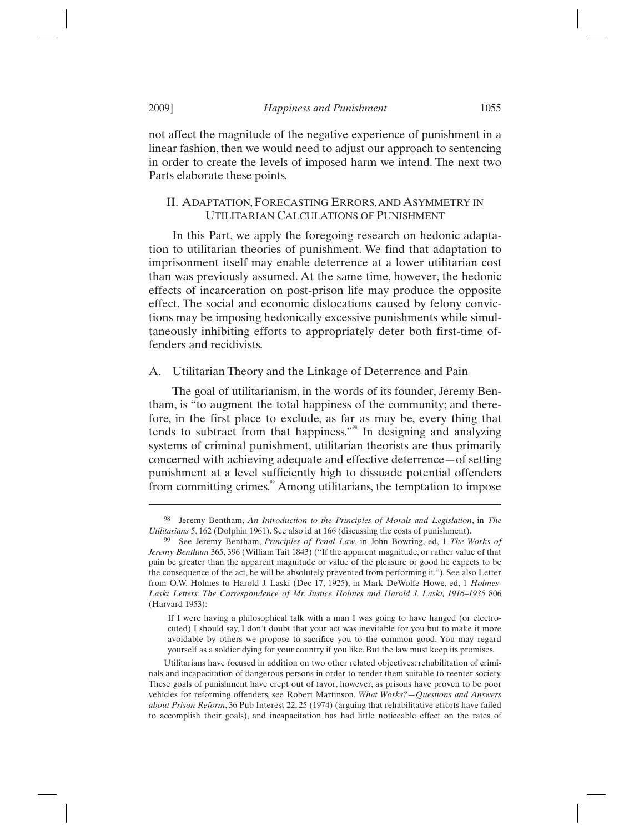not affect the magnitude of the negative experience of punishment in a linear fashion, then we would need to adjust our approach to sentencing in order to create the levels of imposed harm we intend. The next two Parts elaborate these points.

# II. ADAPTATION,FORECASTING ERRORS, AND ASYMMETRY IN UTILITARIAN CALCULATIONS OF PUNISHMENT

In this Part, we apply the foregoing research on hedonic adaptation to utilitarian theories of punishment. We find that adaptation to imprisonment itself may enable deterrence at a lower utilitarian cost than was previously assumed. At the same time, however, the hedonic effects of incarceration on post-prison life may produce the opposite effect. The social and economic dislocations caused by felony convictions may be imposing hedonically excessive punishments while simultaneously inhibiting efforts to appropriately deter both first-time offenders and recidivists.

# A. Utilitarian Theory and the Linkage of Deterrence and Pain

The goal of utilitarianism, in the words of its founder, Jeremy Bentham, is "to augment the total happiness of the community; and therefore, in the first place to exclude, as far as may be, every thing that tends to subtract from that happiness."<sup>98</sup> In designing and analyzing systems of criminal punishment, utilitarian theorists are thus primarily concerned with achieving adequate and effective deterrence—of setting punishment at a level sufficiently high to dissuade potential offenders from committing crimes.<sup>99</sup> Among utilitarians, the temptation to impose

<sup>98</sup> Jeremy Bentham, *An Introduction to the Principles of Morals and Legislation*, in *The Utilitarians* 5, 162 (Dolphin 1961). See also id at 166 (discussing the costs of punishment).

<sup>99</sup> See Jeremy Bentham, *Principles of Penal Law*, in John Bowring, ed, 1 *The Works of Jeremy Bentham* 365, 396 (William Tait 1843) ("If the apparent magnitude, or rather value of that pain be greater than the apparent magnitude or value of the pleasure or good he expects to be the consequence of the act, he will be absolutely prevented from performing it."). See also Letter from O.W. Holmes to Harold J. Laski (Dec 17, 1925), in Mark DeWolfe Howe, ed, 1 *Holmes-Laski Letters: The Correspondence of Mr. Justice Holmes and Harold J. Laski, 1916–1935* 806 (Harvard 1953):

If I were having a philosophical talk with a man I was going to have hanged (or electrocuted) I should say, I don't doubt that your act was inevitable for you but to make it more avoidable by others we propose to sacrifice you to the common good. You may regard yourself as a soldier dying for your country if you like. But the law must keep its promises.

Utilitarians have focused in addition on two other related objectives: rehabilitation of criminals and incapacitation of dangerous persons in order to render them suitable to reenter society. These goals of punishment have crept out of favor, however, as prisons have proven to be poor vehicles for reforming offenders, see Robert Martinson, *What Works?—Questions and Answers about Prison Reform*, 36 Pub Interest 22, 25 (1974) (arguing that rehabilitative efforts have failed to accomplish their goals), and incapacitation has had little noticeable effect on the rates of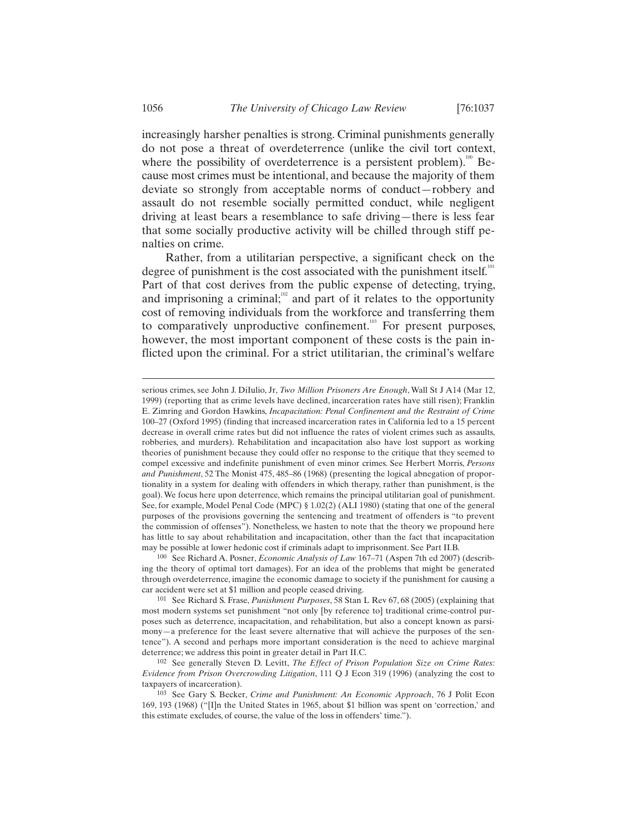increasingly harsher penalties is strong. Criminal punishments generally do not pose a threat of overdeterrence (unlike the civil tort context, where the possibility of overdeterrence is a persistent problem).<sup>100</sup> Because most crimes must be intentional, and because the majority of them deviate so strongly from acceptable norms of conduct—robbery and assault do not resemble socially permitted conduct, while negligent driving at least bears a resemblance to safe driving—there is less fear that some socially productive activity will be chilled through stiff penalties on crime.

Rather, from a utilitarian perspective, a significant check on the degree of punishment is the cost associated with the punishment itself. $101$ Part of that cost derives from the public expense of detecting, trying, and imprisoning a criminal;<sup>102</sup> and part of it relates to the opportunity cost of removing individuals from the workforce and transferring them to comparatively unproductive confinement.<sup>103</sup> For present purposes, however, the most important component of these costs is the pain inflicted upon the criminal. For a strict utilitarian, the criminal's welfare

serious crimes, see John J. DiIulio, Jr, *Two Million Prisoners Are Enough*, Wall St J A14 (Mar 12, 1999) (reporting that as crime levels have declined, incarceration rates have still risen); Franklin E. Zimring and Gordon Hawkins, *Incapacitation: Penal Confinement and the Restraint of Crime* 100–27 (Oxford 1995) (finding that increased incarceration rates in California led to a 15 percent decrease in overall crime rates but did not influence the rates of violent crimes such as assaults, robberies, and murders). Rehabilitation and incapacitation also have lost support as working theories of punishment because they could offer no response to the critique that they seemed to compel excessive and indefinite punishment of even minor crimes. See Herbert Morris, *Persons and Punishment*, 52 The Monist 475, 485–86 (1968) (presenting the logical abnegation of proportionality in a system for dealing with offenders in which therapy, rather than punishment, is the goal). We focus here upon deterrence, which remains the principal utilitarian goal of punishment. See, for example, Model Penal Code (MPC) § 1.02(2) (ALI 1980) (stating that one of the general purposes of the provisions governing the sentencing and treatment of offenders is "to prevent the commission of offenses"). Nonetheless, we hasten to note that the theory we propound here has little to say about rehabilitation and incapacitation, other than the fact that incapacitation may be possible at lower hedonic cost if criminals adapt to imprisonment. See Part II.B.

<sup>100</sup> See Richard A. Posner, *Economic Analysis of Law* 167–71 (Aspen 7th ed 2007) (describing the theory of optimal tort damages). For an idea of the problems that might be generated through overdeterrence, imagine the economic damage to society if the punishment for causing a car accident were set at \$1 million and people ceased driving.

<sup>101</sup> See Richard S. Frase, *Punishment Purposes*, 58 Stan L Rev 67, 68 (2005) (explaining that most modern systems set punishment "not only [by reference to] traditional crime-control purposes such as deterrence, incapacitation, and rehabilitation, but also a concept known as parsimony—a preference for the least severe alternative that will achieve the purposes of the sentence"). A second and perhaps more important consideration is the need to achieve marginal deterrence; we address this point in greater detail in Part II.C.

<sup>102</sup> See generally Steven D. Levitt, *The Effect of Prison Population Size on Crime Rates: Evidence from Prison Overcrowding Litigation*, 111 Q J Econ 319 (1996) (analyzing the cost to taxpayers of incarceration).

<sup>103</sup> See Gary S. Becker, *Crime and Punishment: An Economic Approach*, 76 J Polit Econ 169, 193 (1968) ("[I]n the United States in 1965, about \$1 billion was spent on 'correction,' and this estimate excludes, of course, the value of the loss in offenders' time.").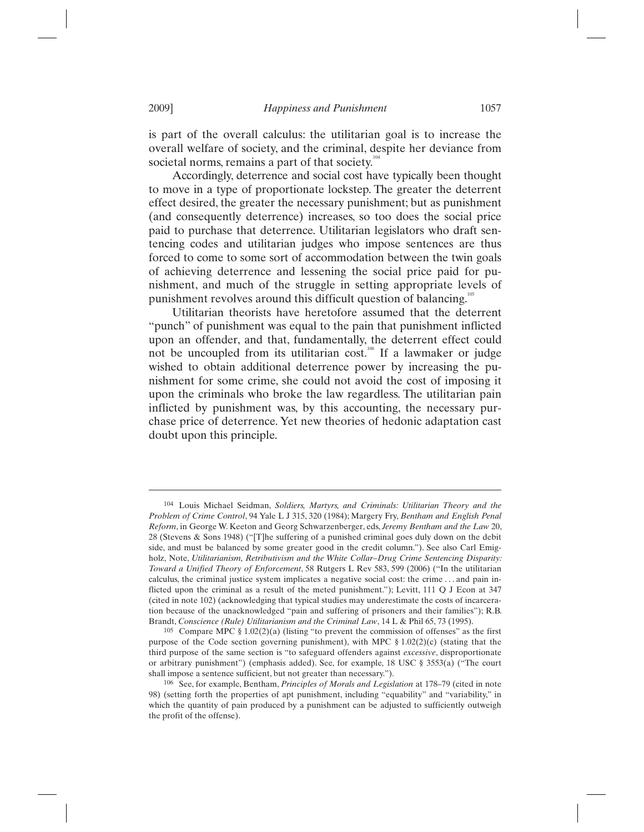is part of the overall calculus: the utilitarian goal is to increase the overall welfare of society, and the criminal, despite her deviance from societal norms, remains a part of that society.<sup>104</sup>

Accordingly, deterrence and social cost have typically been thought to move in a type of proportionate lockstep. The greater the deterrent effect desired, the greater the necessary punishment; but as punishment (and consequently deterrence) increases, so too does the social price paid to purchase that deterrence. Utilitarian legislators who draft sentencing codes and utilitarian judges who impose sentences are thus forced to come to some sort of accommodation between the twin goals of achieving deterrence and lessening the social price paid for punishment, and much of the struggle in setting appropriate levels of punishment revolves around this difficult question of balancing.<sup>1</sup>

Utilitarian theorists have heretofore assumed that the deterrent "punch" of punishment was equal to the pain that punishment inflicted upon an offender, and that, fundamentally, the deterrent effect could not be uncoupled from its utilitarian cost.<sup>106</sup> If a lawmaker or judge wished to obtain additional deterrence power by increasing the punishment for some crime, she could not avoid the cost of imposing it upon the criminals who broke the law regardless. The utilitarian pain inflicted by punishment was, by this accounting, the necessary purchase price of deterrence. Yet new theories of hedonic adaptation cast doubt upon this principle.

<sup>104</sup> Louis Michael Seidman, *Soldiers, Martyrs, and Criminals: Utilitarian Theory and the Problem of Crime Control*, 94 Yale L J 315, 320 (1984); Margery Fry, *Bentham and English Penal Reform*, in George W. Keeton and Georg Schwarzenberger, eds, *Jeremy Bentham and the Law* 20, 28 (Stevens & Sons 1948) ("[T]he suffering of a punished criminal goes duly down on the debit side, and must be balanced by some greater good in the credit column."). See also Carl Emigholz, Note, *Utilitarianism, Retributivism and the White Collar–Drug Crime Sentencing Disparity: Toward a Unified Theory of Enforcement*, 58 Rutgers L Rev 583, 599 (2006) ("In the utilitarian calculus, the criminal justice system implicates a negative social cost: the crime . . . and pain inflicted upon the criminal as a result of the meted punishment."); Levitt, 111 Q J Econ at 347 (cited in note 102) (acknowledging that typical studies may underestimate the costs of incarceration because of the unacknowledged "pain and suffering of prisoners and their families"); R.B. Brandt, *Conscience (Rule) Utilitarianism and the Criminal Law*, 14 L & Phil 65, 73 (1995).

<sup>&</sup>lt;sup>105</sup> Compare MPC § 1.02(2)(a) (listing "to prevent the commission of offenses" as the first purpose of the Code section governing punishment), with MPC § 1.02(2)(c) (stating that the third purpose of the same section is "to safeguard offenders against *excessive*, disproportionate or arbitrary punishment") (emphasis added). See, for example, 18 USC § 3553(a) ("The court shall impose a sentence sufficient, but not greater than necessary.").

<sup>106</sup> See, for example, Bentham, *Principles of Morals and Legislation* at 178–79 (cited in note 98) (setting forth the properties of apt punishment, including "equability" and "variability," in which the quantity of pain produced by a punishment can be adjusted to sufficiently outweigh the profit of the offense).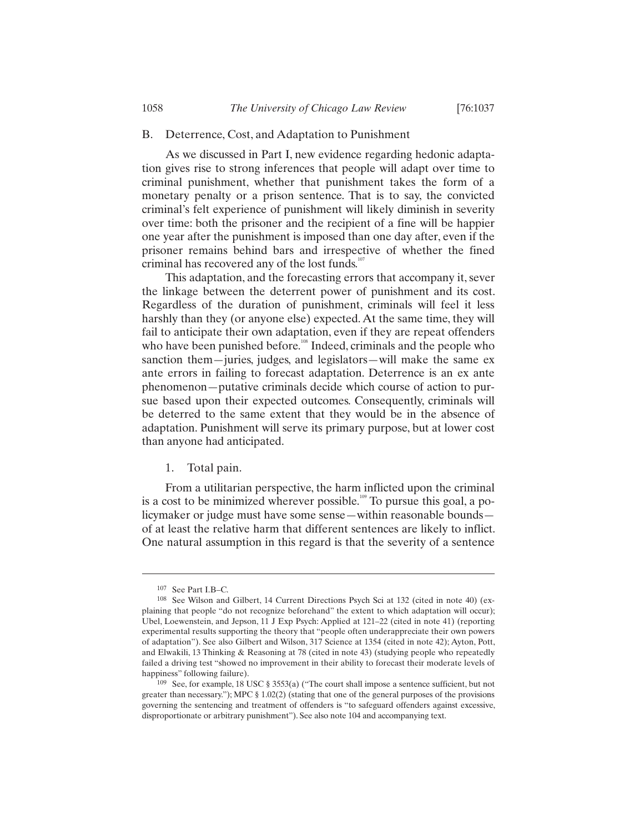## B. Deterrence, Cost, and Adaptation to Punishment

As we discussed in Part I, new evidence regarding hedonic adaptation gives rise to strong inferences that people will adapt over time to criminal punishment, whether that punishment takes the form of a monetary penalty or a prison sentence. That is to say, the convicted criminal's felt experience of punishment will likely diminish in severity over time: both the prisoner and the recipient of a fine will be happier one year after the punishment is imposed than one day after, even if the prisoner remains behind bars and irrespective of whether the fined criminal has recovered any of the lost funds.<sup>10</sup>

This adaptation, and the forecasting errors that accompany it, sever the linkage between the deterrent power of punishment and its cost. Regardless of the duration of punishment, criminals will feel it less harshly than they (or anyone else) expected. At the same time, they will fail to anticipate their own adaptation, even if they are repeat offenders who have been punished before.<sup>108</sup> Indeed, criminals and the people who sanction them—juries, judges, and legislators—will make the same ex ante errors in failing to forecast adaptation. Deterrence is an ex ante phenomenon—putative criminals decide which course of action to pursue based upon their expected outcomes. Consequently, criminals will be deterred to the same extent that they would be in the absence of adaptation. Punishment will serve its primary purpose, but at lower cost than anyone had anticipated.

## 1. Total pain.

From a utilitarian perspective, the harm inflicted upon the criminal is a cost to be minimized wherever possible.<sup>109</sup> To pursue this goal, a policymaker or judge must have some sense—within reasonable bounds of at least the relative harm that different sentences are likely to inflict. One natural assumption in this regard is that the severity of a sentence

<sup>107</sup> See Part I.B–C.

<sup>108</sup> See Wilson and Gilbert, 14 Current Directions Psych Sci at 132 (cited in note 40) (explaining that people "do not recognize beforehand" the extent to which adaptation will occur); Ubel, Loewenstein, and Jepson, 11 J Exp Psych: Applied at 121–22 (cited in note 41) (reporting experimental results supporting the theory that "people often underappreciate their own powers of adaptation"). See also Gilbert and Wilson, 317 Science at 1354 (cited in note 42); Ayton, Pott, and Elwakili, 13 Thinking & Reasoning at 78 (cited in note 43) (studying people who repeatedly failed a driving test "showed no improvement in their ability to forecast their moderate levels of happiness" following failure).

<sup>109</sup> See, for example, 18 USC § 3553(a) ("The court shall impose a sentence sufficient, but not greater than necessary."); MPC § 1.02(2) (stating that one of the general purposes of the provisions governing the sentencing and treatment of offenders is "to safeguard offenders against excessive, disproportionate or arbitrary punishment"). See also note 104 and accompanying text.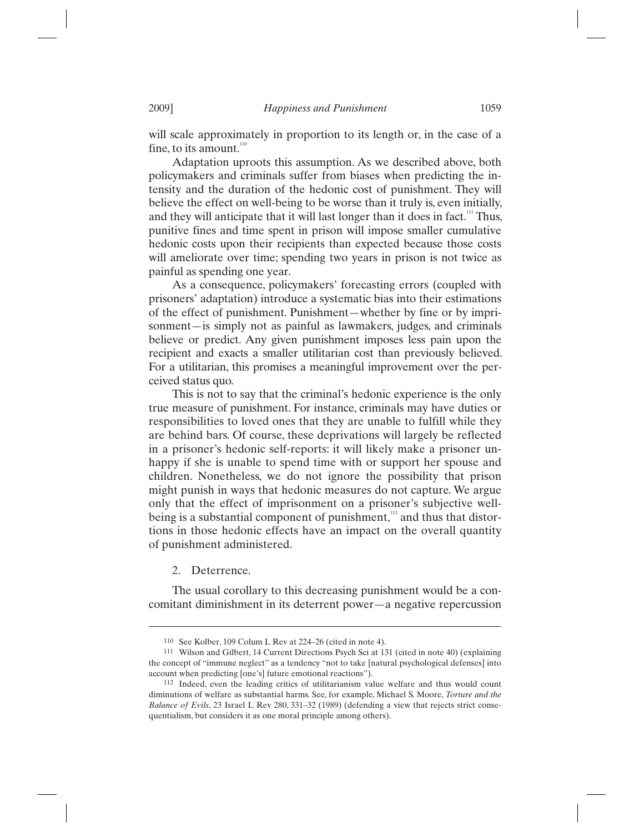will scale approximately in proportion to its length or, in the case of a fine, to its amount. $110$ 

Adaptation uproots this assumption. As we described above, both policymakers and criminals suffer from biases when predicting the intensity and the duration of the hedonic cost of punishment. They will believe the effect on well-being to be worse than it truly is, even initially, and they will anticipate that it will last longer than it does in fact.<sup>111</sup> Thus, punitive fines and time spent in prison will impose smaller cumulative hedonic costs upon their recipients than expected because those costs will ameliorate over time; spending two years in prison is not twice as painful as spending one year.

As a consequence, policymakers' forecasting errors (coupled with prisoners' adaptation) introduce a systematic bias into their estimations of the effect of punishment. Punishment—whether by fine or by imprisonment—is simply not as painful as lawmakers, judges, and criminals believe or predict. Any given punishment imposes less pain upon the recipient and exacts a smaller utilitarian cost than previously believed. For a utilitarian, this promises a meaningful improvement over the perceived status quo.

This is not to say that the criminal's hedonic experience is the only true measure of punishment. For instance, criminals may have duties or responsibilities to loved ones that they are unable to fulfill while they are behind bars. Of course, these deprivations will largely be reflected in a prisoner's hedonic self-reports: it will likely make a prisoner unhappy if she is unable to spend time with or support her spouse and children. Nonetheless, we do not ignore the possibility that prison might punish in ways that hedonic measures do not capture. We argue only that the effect of imprisonment on a prisoner's subjective wellbeing is a substantial component of punishment, $\frac{112}{12}$  and thus that distortions in those hedonic effects have an impact on the overall quantity of punishment administered.

2. Deterrence.

 $\overline{a}$ 

The usual corollary to this decreasing punishment would be a concomitant diminishment in its deterrent power—a negative repercussion

<sup>110</sup> See Kolber, 109 Colum L Rev at 224–26 (cited in note 4).

<sup>111</sup> Wilson and Gilbert, 14 Current Directions Psych Sci at 131 (cited in note 40) (explaining the concept of "immune neglect" as a tendency "not to take [natural psychological defenses] into account when predicting [one's] future emotional reactions").

<sup>112</sup> Indeed, even the leading critics of utilitarianism value welfare and thus would count diminutions of welfare as substantial harms. See, for example, Michael S. Moore, *Torture and the Balance of Evils*, 23 Israel L Rev 280, 331–32 (1989) (defending a view that rejects strict consequentialism, but considers it as one moral principle among others).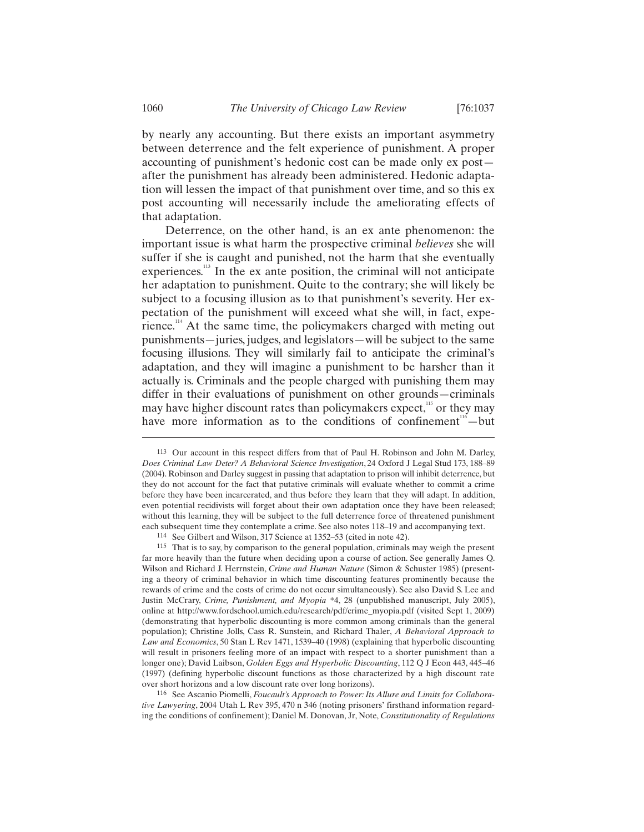by nearly any accounting. But there exists an important asymmetry between deterrence and the felt experience of punishment. A proper accounting of punishment's hedonic cost can be made only ex post after the punishment has already been administered. Hedonic adaptation will lessen the impact of that punishment over time, and so this ex post accounting will necessarily include the ameliorating effects of that adaptation.

Deterrence, on the other hand, is an ex ante phenomenon: the important issue is what harm the prospective criminal *believes* she will suffer if she is caught and punished, not the harm that she eventually experiences.<sup>113</sup> In the ex ante position, the criminal will not anticipate her adaptation to punishment. Quite to the contrary; she will likely be subject to a focusing illusion as to that punishment's severity. Her expectation of the punishment will exceed what she will, in fact, experience.<sup>114</sup> At the same time, the policymakers charged with meting out punishments—juries, judges, and legislators—will be subject to the same focusing illusions. They will similarly fail to anticipate the criminal's adaptation, and they will imagine a punishment to be harsher than it actually is. Criminals and the people charged with punishing them may differ in their evaluations of punishment on other grounds—criminals may have higher discount rates than policymakers expect, $115$  or they may have more information as to the conditions of confinement<sup>116</sup> —but

116 See Ascanio Piomelli, *Foucault's Approach to Power: Its Allure and Limits for Collaborative Lawyering*, 2004 Utah L Rev 395, 470 n 346 (noting prisoners' firsthand information regarding the conditions of confinement); Daniel M. Donovan, Jr, Note, *Constitutionality of Regulations* 

<sup>113</sup> Our account in this respect differs from that of Paul H. Robinson and John M. Darley, *Does Criminal Law Deter? A Behavioral Science Investigation*, 24 Oxford J Legal Stud 173, 188–89 (2004). Robinson and Darley suggest in passing that adaptation to prison will inhibit deterrence, but they do not account for the fact that putative criminals will evaluate whether to commit a crime before they have been incarcerated, and thus before they learn that they will adapt. In addition, even potential recidivists will forget about their own adaptation once they have been released; without this learning, they will be subject to the full deterrence force of threatened punishment each subsequent time they contemplate a crime. See also notes 118–19 and accompanying text.

<sup>114</sup> See Gilbert and Wilson, 317 Science at 1352–53 (cited in note 42).

<sup>115</sup> That is to say, by comparison to the general population, criminals may weigh the present far more heavily than the future when deciding upon a course of action. See generally James Q. Wilson and Richard J. Herrnstein, *Crime and Human Nature* (Simon & Schuster 1985) (presenting a theory of criminal behavior in which time discounting features prominently because the rewards of crime and the costs of crime do not occur simultaneously). See also David S. Lee and Justin McCrary, *Crime, Punishment, and Myopia* \*4, 28 (unpublished manuscript, July 2005), online at http://www.fordschool.umich.edu/research/pdf/crime\_myopia.pdf (visited Sept 1, 2009) (demonstrating that hyperbolic discounting is more common among criminals than the general population); Christine Jolls, Cass R. Sunstein, and Richard Thaler, *A Behavioral Approach to Law and Economics*, 50 Stan L Rev 1471, 1539–40 (1998) (explaining that hyperbolic discounting will result in prisoners feeling more of an impact with respect to a shorter punishment than a longer one); David Laibson, *Golden Eggs and Hyperbolic Discounting*, 112 Q J Econ 443, 445–46 (1997) (defining hyperbolic discount functions as those characterized by a high discount rate over short horizons and a low discount rate over long horizons).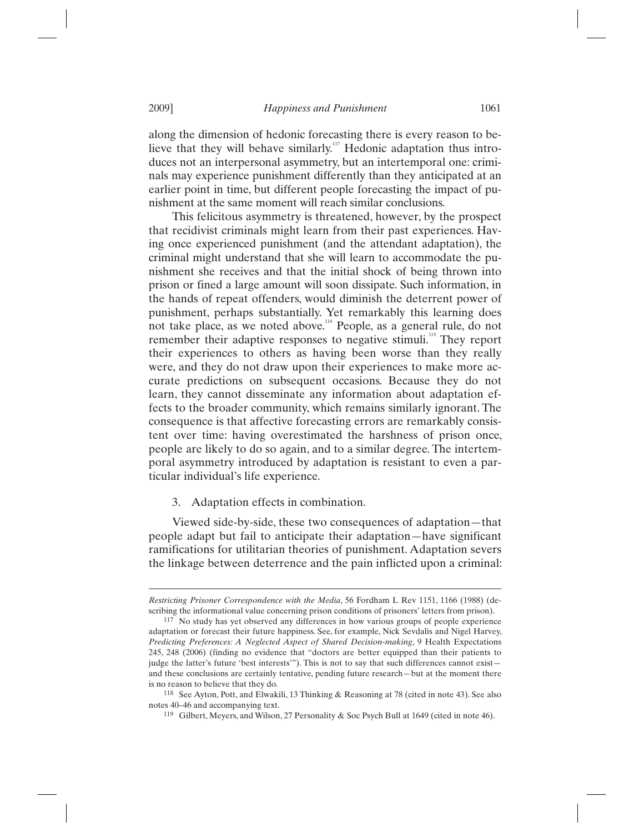along the dimension of hedonic forecasting there is every reason to believe that they will behave similarly. $117$  Hedonic adaptation thus introduces not an interpersonal asymmetry, but an intertemporal one: criminals may experience punishment differently than they anticipated at an earlier point in time, but different people forecasting the impact of punishment at the same moment will reach similar conclusions.

This felicitous asymmetry is threatened, however, by the prospect that recidivist criminals might learn from their past experiences. Having once experienced punishment (and the attendant adaptation), the criminal might understand that she will learn to accommodate the punishment she receives and that the initial shock of being thrown into prison or fined a large amount will soon dissipate. Such information, in the hands of repeat offenders, would diminish the deterrent power of punishment, perhaps substantially. Yet remarkably this learning does not take place, as we noted above.118 People, as a general rule, do not remember their adaptive responses to negative stimuli.<sup>119</sup> They report their experiences to others as having been worse than they really were, and they do not draw upon their experiences to make more accurate predictions on subsequent occasions. Because they do not learn, they cannot disseminate any information about adaptation effects to the broader community, which remains similarly ignorant. The consequence is that affective forecasting errors are remarkably consistent over time: having overestimated the harshness of prison once, people are likely to do so again, and to a similar degree. The intertemporal asymmetry introduced by adaptation is resistant to even a particular individual's life experience.

## 3. Adaptation effects in combination.

Viewed side-by-side, these two consequences of adaptation—that people adapt but fail to anticipate their adaptation—have significant ramifications for utilitarian theories of punishment. Adaptation severs the linkage between deterrence and the pain inflicted upon a criminal:

*Restricting Prisoner Correspondence with the Media*, 56 Fordham L Rev 1151, 1166 (1988) (describing the informational value concerning prison conditions of prisoners' letters from prison).

<sup>117</sup> No study has yet observed any differences in how various groups of people experience adaptation or forecast their future happiness. See, for example, Nick Sevdalis and Nigel Harvey, *Predicting Preferences: A Neglected Aspect of Shared Decision-making*, 9 Health Expectations 245, 248 (2006) (finding no evidence that "doctors are better equipped than their patients to judge the latter's future 'best interests'"). This is not to say that such differences cannot exist and these conclusions are certainly tentative, pending future research—but at the moment there is no reason to believe that they do.

<sup>118</sup> See Ayton, Pott, and Elwakili, 13 Thinking & Reasoning at 78 (cited in note 43). See also notes 40–46 and accompanying text.

<sup>119</sup> Gilbert, Meyers, and Wilson, 27 Personality & Soc Psych Bull at 1649 (cited in note 46).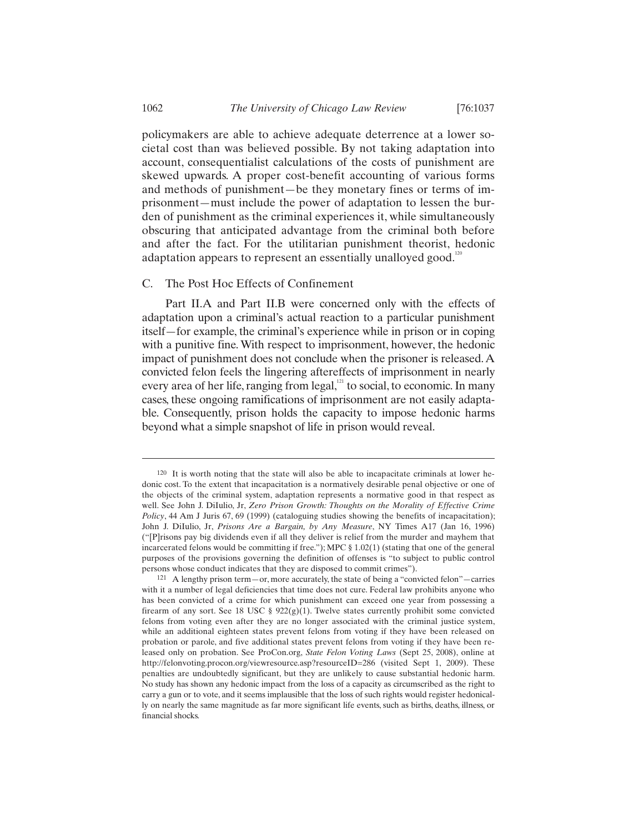policymakers are able to achieve adequate deterrence at a lower societal cost than was believed possible. By not taking adaptation into account, consequentialist calculations of the costs of punishment are skewed upwards. A proper cost-benefit accounting of various forms and methods of punishment—be they monetary fines or terms of imprisonment—must include the power of adaptation to lessen the burden of punishment as the criminal experiences it, while simultaneously obscuring that anticipated advantage from the criminal both before and after the fact. For the utilitarian punishment theorist, hedonic adaptation appears to represent an essentially unalloyed good.<sup>12</sup>

# C. The Post Hoc Effects of Confinement

Part II.A and Part II.B were concerned only with the effects of adaptation upon a criminal's actual reaction to a particular punishment itself—for example, the criminal's experience while in prison or in coping with a punitive fine. With respect to imprisonment, however, the hedonic impact of punishment does not conclude when the prisoner is released. A convicted felon feels the lingering aftereffects of imprisonment in nearly every area of her life, ranging from legal,<sup>121</sup> to social, to economic. In many cases, these ongoing ramifications of imprisonment are not easily adaptable. Consequently, prison holds the capacity to impose hedonic harms beyond what a simple snapshot of life in prison would reveal.

<sup>120</sup> It is worth noting that the state will also be able to incapacitate criminals at lower hedonic cost. To the extent that incapacitation is a normatively desirable penal objective or one of the objects of the criminal system, adaptation represents a normative good in that respect as well. See John J. DiIulio, Jr, *Zero Prison Growth: Thoughts on the Morality of Effective Crime Policy*, 44 Am J Juris 67, 69 (1999) (cataloguing studies showing the benefits of incapacitation); John J. DiIulio, Jr, *Prisons Are a Bargain, by Any Measure*, NY Times A17 (Jan 16, 1996) ("[P]risons pay big dividends even if all they deliver is relief from the murder and mayhem that incarcerated felons would be committing if free."); MPC § 1.02(1) (stating that one of the general purposes of the provisions governing the definition of offenses is "to subject to public control persons whose conduct indicates that they are disposed to commit crimes").

<sup>121</sup> A lengthy prison term—or, more accurately, the state of being a "convicted felon"—carries with it a number of legal deficiencies that time does not cure. Federal law prohibits anyone who has been convicted of a crime for which punishment can exceed one year from possessing a firearm of any sort. See 18 USC §  $922(g)(1)$ . Twelve states currently prohibit some convicted felons from voting even after they are no longer associated with the criminal justice system, while an additional eighteen states prevent felons from voting if they have been released on probation or parole, and five additional states prevent felons from voting if they have been released only on probation. See ProCon.org, *State Felon Voting Laws* (Sept 25, 2008), online at http://felonvoting.procon.org/viewresource.asp?resourceID=286 (visited Sept 1, 2009). These penalties are undoubtedly significant, but they are unlikely to cause substantial hedonic harm. No study has shown any hedonic impact from the loss of a capacity as circumscribed as the right to carry a gun or to vote, and it seems implausible that the loss of such rights would register hedonically on nearly the same magnitude as far more significant life events, such as births, deaths, illness, or financial shocks.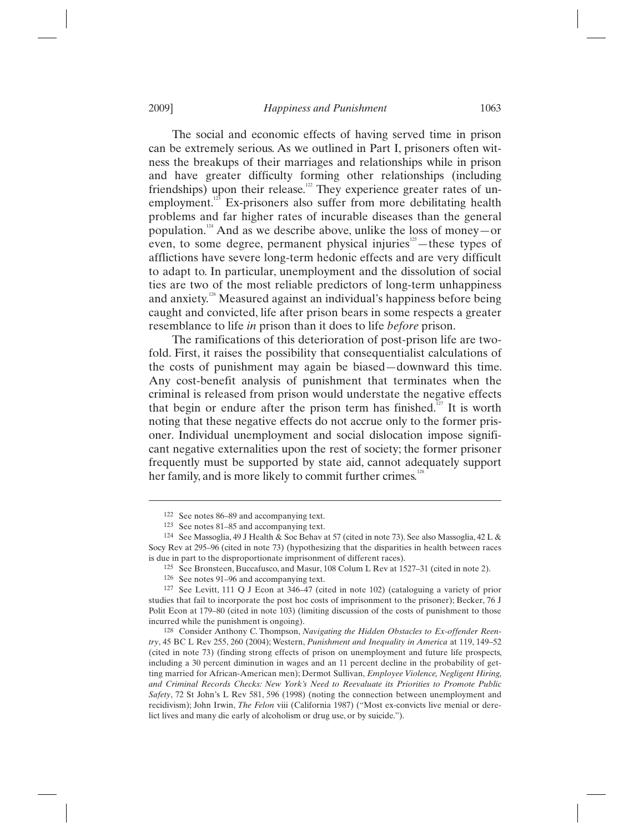The social and economic effects of having served time in prison can be extremely serious. As we outlined in Part I, prisoners often witness the breakups of their marriages and relationships while in prison and have greater difficulty forming other relationships (including friendships) upon their release.<sup>122</sup> They experience greater rates of unemployment.<sup>123</sup> Ex-prisoners also suffer from more debilitating health problems and far higher rates of incurable diseases than the general population.<sup>124</sup> And as we describe above, unlike the loss of money—or even, to some degree, permanent physical injuries<sup>125</sup>—these types of afflictions have severe long-term hedonic effects and are very difficult to adapt to. In particular, unemployment and the dissolution of social ties are two of the most reliable predictors of long-term unhappiness and anxiety.<sup>126</sup> Measured against an individual's happiness before being caught and convicted, life after prison bears in some respects a greater resemblance to life *in* prison than it does to life *before* prison.

The ramifications of this deterioration of post-prison life are twofold. First, it raises the possibility that consequentialist calculations of the costs of punishment may again be biased—downward this time. Any cost-benefit analysis of punishment that terminates when the criminal is released from prison would understate the negative effects that begin or endure after the prison term has finished.<sup>127</sup> It is worth noting that these negative effects do not accrue only to the former prisoner. Individual unemployment and social dislocation impose significant negative externalities upon the rest of society; the former prisoner frequently must be supported by state aid, cannot adequately support her family, and is more likely to commit further crimes.<sup>12</sup>

125 See Bronsteen, Buccafusco, and Masur, 108 Colum L Rev at 1527–31 (cited in note 2).

<sup>&</sup>lt;sup>122</sup> See notes 86–89 and accompanying text.<br><sup>123</sup> See notes 81–85 and accompanying text.

<sup>&</sup>lt;sup>124</sup> See Massoglia, 49 J Health & Soc Behav at 57 (cited in note 73). See also Massoglia, 42 L & Socy Rev at 295–96 (cited in note 73) (hypothesizing that the disparities in health between races is due in part to the disproportionate imprisonment of different races).

<sup>126</sup> See notes 91–96 and accompanying text.

<sup>127</sup> See Levitt, 111 Q J Econ at 346–47 (cited in note 102) (cataloguing a variety of prior studies that fail to incorporate the post hoc costs of imprisonment to the prisoner); Becker, 76 J Polit Econ at 179–80 (cited in note 103) (limiting discussion of the costs of punishment to those incurred while the punishment is ongoing).

<sup>128</sup> Consider Anthony C. Thompson, *Navigating the Hidden Obstacles to Ex-offender Reentry*, 45 BC L Rev 255, 260 (2004); Western, *Punishment and Inequality in America* at 119, 149–52 (cited in note 73) (finding strong effects of prison on unemployment and future life prospects, including a 30 percent diminution in wages and an 11 percent decline in the probability of getting married for African-American men); Dermot Sullivan, *Employee Violence, Negligent Hiring, and Criminal Records Checks: New York's Need to Reevaluate its Priorities to Promote Public Safety*, 72 St John's L Rev 581, 596 (1998) (noting the connection between unemployment and recidivism); John Irwin, *The Felon* viii (California 1987) ("Most ex-convicts live menial or derelict lives and many die early of alcoholism or drug use, or by suicide.").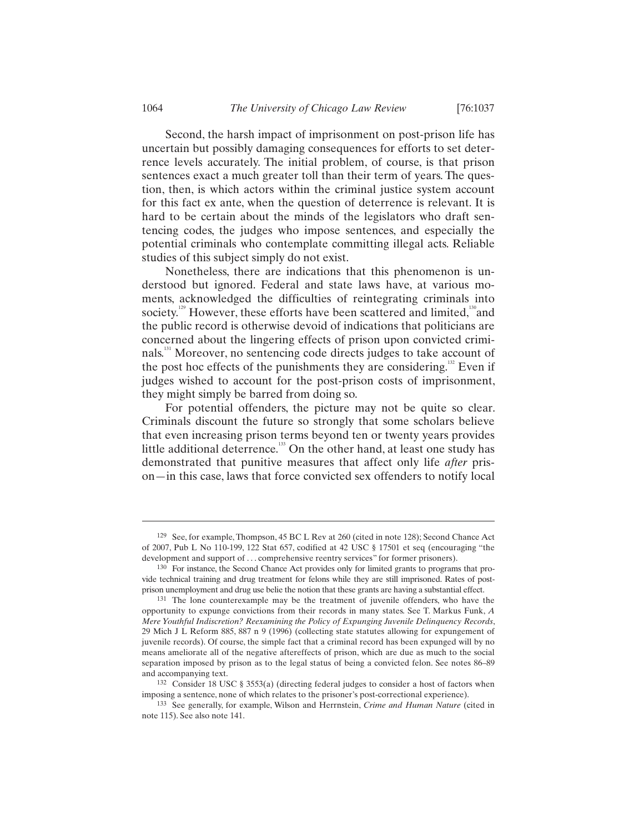Second, the harsh impact of imprisonment on post-prison life has uncertain but possibly damaging consequences for efforts to set deterrence levels accurately. The initial problem, of course, is that prison sentences exact a much greater toll than their term of years. The question, then, is which actors within the criminal justice system account for this fact ex ante, when the question of deterrence is relevant. It is hard to be certain about the minds of the legislators who draft sentencing codes, the judges who impose sentences, and especially the potential criminals who contemplate committing illegal acts. Reliable studies of this subject simply do not exist.

Nonetheless, there are indications that this phenomenon is understood but ignored. Federal and state laws have, at various moments, acknowledged the difficulties of reintegrating criminals into society.<sup>129</sup> However, these efforts have been scattered and limited,<sup>130</sup> and the public record is otherwise devoid of indications that politicians are concerned about the lingering effects of prison upon convicted criminals.<sup>131</sup> Moreover, no sentencing code directs judges to take account of the post hoc effects of the punishments they are considering.<sup>132</sup> Even if judges wished to account for the post-prison costs of imprisonment, they might simply be barred from doing so.

For potential offenders, the picture may not be quite so clear. Criminals discount the future so strongly that some scholars believe that even increasing prison terms beyond ten or twenty years provides little additional deterrence.<sup>133</sup> On the other hand, at least one study has demonstrated that punitive measures that affect only life *after* prison—in this case, laws that force convicted sex offenders to notify local

<sup>129</sup> See, for example, Thompson, 45 BC L Rev at 260 (cited in note 128); Second Chance Act of 2007, Pub L No 110-199, 122 Stat 657, codified at 42 USC § 17501 et seq (encouraging "the development and support of . . . comprehensive reentry services" for former prisoners).

<sup>130</sup> For instance, the Second Chance Act provides only for limited grants to programs that provide technical training and drug treatment for felons while they are still imprisoned. Rates of postprison unemployment and drug use belie the notion that these grants are having a substantial effect.

<sup>131</sup> The lone counterexample may be the treatment of juvenile offenders, who have the opportunity to expunge convictions from their records in many states. See T. Markus Funk, *A Mere Youthful Indiscretion? Reexamining the Policy of Expunging Juvenile Delinquency Records*, 29 Mich J L Reform 885, 887 n 9 (1996) (collecting state statutes allowing for expungement of juvenile records). Of course, the simple fact that a criminal record has been expunged will by no means ameliorate all of the negative aftereffects of prison, which are due as much to the social separation imposed by prison as to the legal status of being a convicted felon. See notes 86–89 and accompanying text.

<sup>132</sup> Consider 18 USC § 3553(a) (directing federal judges to consider a host of factors when imposing a sentence, none of which relates to the prisoner's post-correctional experience).

<sup>133</sup> See generally, for example, Wilson and Herrnstein, *Crime and Human Nature* (cited in note 115). See also note 141.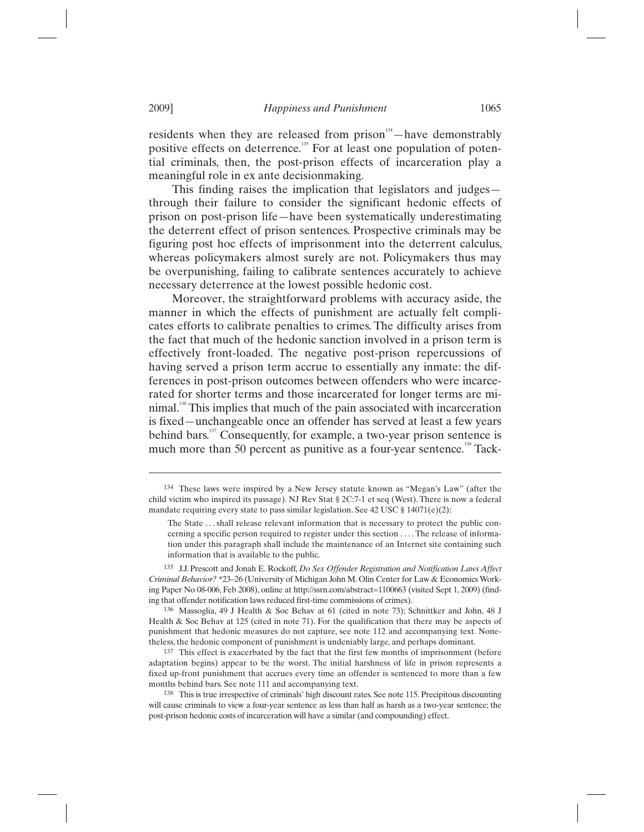residents when they are released from prison<sup> $34$ </sup>—have demonstrably positive effects on deterrence.<sup>135</sup> For at least one population of potential criminals, then, the post-prison effects of incarceration play a meaningful role in ex ante decisionmaking.

This finding raises the implication that legislators and judges through their failure to consider the significant hedonic effects of prison on post-prison life—have been systematically underestimating the deterrent effect of prison sentences. Prospective criminals may be figuring post hoc effects of imprisonment into the deterrent calculus, whereas policymakers almost surely are not. Policymakers thus may be overpunishing, failing to calibrate sentences accurately to achieve necessary deterrence at the lowest possible hedonic cost.

Moreover, the straightforward problems with accuracy aside, the manner in which the effects of punishment are actually felt complicates efforts to calibrate penalties to crimes. The difficulty arises from the fact that much of the hedonic sanction involved in a prison term is effectively front-loaded. The negative post-prison repercussions of having served a prison term accrue to essentially any inmate: the differences in post-prison outcomes between offenders who were incarcerated for shorter terms and those incarcerated for longer terms are minimal.<sup>136</sup> This implies that much of the pain associated with incarceration is fixed—unchangeable once an offender has served at least a few years behind bars.<sup>137</sup> Consequently, for example, a two-year prison sentence is much more than 50 percent as punitive as a four-year sentence.<sup>138</sup> Tack-

137 This effect is exacerbated by the fact that the first few months of imprisonment (before adaptation begins) appear to be the worst. The initial harshness of life in prison represents a fixed up-front punishment that accrues every time an offender is sentenced to more than a few months behind bars. See note 111 and accompanying text.

<sup>134</sup> These laws were inspired by a New Jersey statute known as "Megan's Law" (after the child victim who inspired its passage). NJ Rev Stat § 2C:7-1 et seq (West). There is now a federal mandate requiring every state to pass similar legislation. See 42 USC § 14071(e)(2):

The State . . . shall release relevant information that is necessary to protect the public concerning a specific person required to register under this section . . . . The release of information under this paragraph shall include the maintenance of an Internet site containing such information that is available to the public.

<sup>135</sup> J.J. Prescott and Jonah E. Rockoff, *Do Sex Offender Registration and Notification Laws Affect Criminal Behavior?* \*23–26 (University of Michigan John M. Olin Center for Law & Economics Working Paper No 08-006, Feb 2008), online at http://ssrn.com/abstract=1100663 (visited Sept 1, 2009) (finding that offender notification laws reduced first-time commissions of crimes).

<sup>136</sup> Massoglia, 49 J Health & Soc Behav at 61 (cited in note 73); Schnittker and John, 48 J Health & Soc Behav at 125 (cited in note 71). For the qualification that there may be aspects of punishment that hedonic measures do not capture, see note 112 and accompanying text. Nonetheless, the hedonic component of punishment is undeniably large, and perhaps dominant.

<sup>138</sup> This is true irrespective of criminals' high discount rates. See note 115. Precipitous discounting will cause criminals to view a four-year sentence as less than half as harsh as a two-year sentence; the post-prison hedonic costs of incarceration will have a similar (and compounding) effect.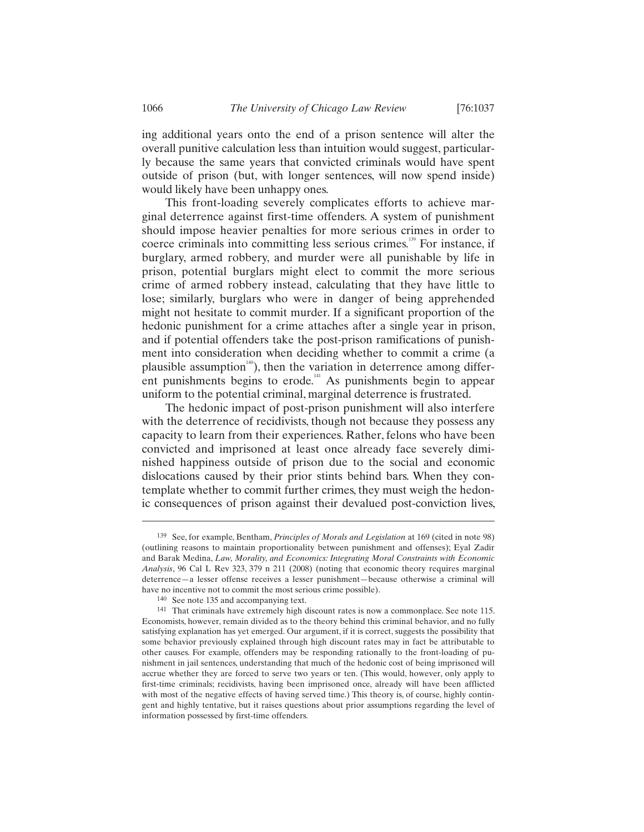ing additional years onto the end of a prison sentence will alter the overall punitive calculation less than intuition would suggest, particularly because the same years that convicted criminals would have spent outside of prison (but, with longer sentences, will now spend inside) would likely have been unhappy ones.

This front-loading severely complicates efforts to achieve marginal deterrence against first-time offenders. A system of punishment should impose heavier penalties for more serious crimes in order to coerce criminals into committing less serious crimes.<sup>139</sup> For instance, if burglary, armed robbery, and murder were all punishable by life in prison, potential burglars might elect to commit the more serious crime of armed robbery instead, calculating that they have little to lose; similarly, burglars who were in danger of being apprehended might not hesitate to commit murder. If a significant proportion of the hedonic punishment for a crime attaches after a single year in prison, and if potential offenders take the post-prison ramifications of punishment into consideration when deciding whether to commit a crime (a plausible assumption $140$ , then the variation in deterrence among different punishments begins to erode.<sup>141</sup> As punishments begin to appear uniform to the potential criminal, marginal deterrence is frustrated.

The hedonic impact of post-prison punishment will also interfere with the deterrence of recidivists, though not because they possess any capacity to learn from their experiences. Rather, felons who have been convicted and imprisoned at least once already face severely diminished happiness outside of prison due to the social and economic dislocations caused by their prior stints behind bars. When they contemplate whether to commit further crimes, they must weigh the hedonic consequences of prison against their devalued post-conviction lives,

<sup>139</sup> See, for example, Bentham, *Principles of Morals and Legislation* at 169 (cited in note 98) (outlining reasons to maintain proportionality between punishment and offenses); Eyal Zadir and Barak Medina, *Law, Morality, and Economics: Integrating Moral Constraints with Economic Analysis*, 96 Cal L Rev 323, 379 n 211 (2008) (noting that economic theory requires marginal deterrence—a lesser offense receives a lesser punishment—because otherwise a criminal will have no incentive not to commit the most serious crime possible).

<sup>140</sup> See note 135 and accompanying text.

<sup>141</sup> That criminals have extremely high discount rates is now a commonplace. See note 115. Economists, however, remain divided as to the theory behind this criminal behavior, and no fully satisfying explanation has yet emerged. Our argument, if it is correct, suggests the possibility that some behavior previously explained through high discount rates may in fact be attributable to other causes. For example, offenders may be responding rationally to the front-loading of punishment in jail sentences, understanding that much of the hedonic cost of being imprisoned will accrue whether they are forced to serve two years or ten. (This would, however, only apply to first-time criminals; recidivists, having been imprisoned once, already will have been afflicted with most of the negative effects of having served time.) This theory is, of course, highly contingent and highly tentative, but it raises questions about prior assumptions regarding the level of information possessed by first-time offenders.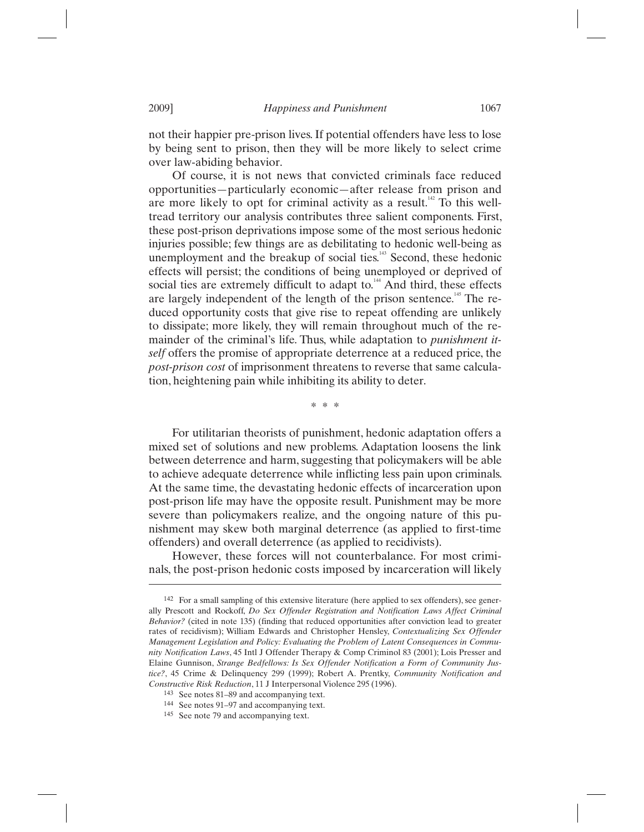not their happier pre-prison lives. If potential offenders have less to lose by being sent to prison, then they will be more likely to select crime over law-abiding behavior.

Of course, it is not news that convicted criminals face reduced opportunities—particularly economic—after release from prison and are more likely to opt for criminal activity as a result.<sup> $142$ </sup> To this welltread territory our analysis contributes three salient components. First, these post-prison deprivations impose some of the most serious hedonic injuries possible; few things are as debilitating to hedonic well-being as unemployment and the breakup of social ties. $143$  Second, these hedonic effects will persist; the conditions of being unemployed or deprived of social ties are extremely difficult to adapt to. $144$  And third, these effects are largely independent of the length of the prison sentence.<sup>145</sup> The reduced opportunity costs that give rise to repeat offending are unlikely to dissipate; more likely, they will remain throughout much of the remainder of the criminal's life. Thus, while adaptation to *punishment itself* offers the promise of appropriate deterrence at a reduced price, the *post-prison cost* of imprisonment threatens to reverse that same calculation, heightening pain while inhibiting its ability to deter.

\* \* \*

For utilitarian theorists of punishment, hedonic adaptation offers a mixed set of solutions and new problems. Adaptation loosens the link between deterrence and harm, suggesting that policymakers will be able to achieve adequate deterrence while inflicting less pain upon criminals. At the same time, the devastating hedonic effects of incarceration upon post-prison life may have the opposite result. Punishment may be more severe than policymakers realize, and the ongoing nature of this punishment may skew both marginal deterrence (as applied to first-time offenders) and overall deterrence (as applied to recidivists).

However, these forces will not counterbalance. For most criminals, the post-prison hedonic costs imposed by incarceration will likely

<sup>142</sup> For a small sampling of this extensive literature (here applied to sex offenders), see generally Prescott and Rockoff, *Do Sex Offender Registration and Notification Laws Affect Criminal Behavior?* (cited in note 135) (finding that reduced opportunities after conviction lead to greater rates of recidivism); William Edwards and Christopher Hensley, *Contextualizing Sex Offender Management Legislation and Policy: Evaluating the Problem of Latent Consequences in Community Notification Laws*, 45 Intl J Offender Therapy & Comp Criminol 83 (2001); Lois Presser and Elaine Gunnison, *Strange Bedfellows: Is Sex Offender Notification a Form of Community Justice?*, 45 Crime & Delinquency 299 (1999); Robert A. Prentky, *Community Notification and Constructive Risk Reduction*, 11 J Interpersonal Violence 295 (1996).

<sup>143</sup> See notes 81–89 and accompanying text.

<sup>144</sup> See notes 91–97 and accompanying text.

<sup>145</sup> See note 79 and accompanying text.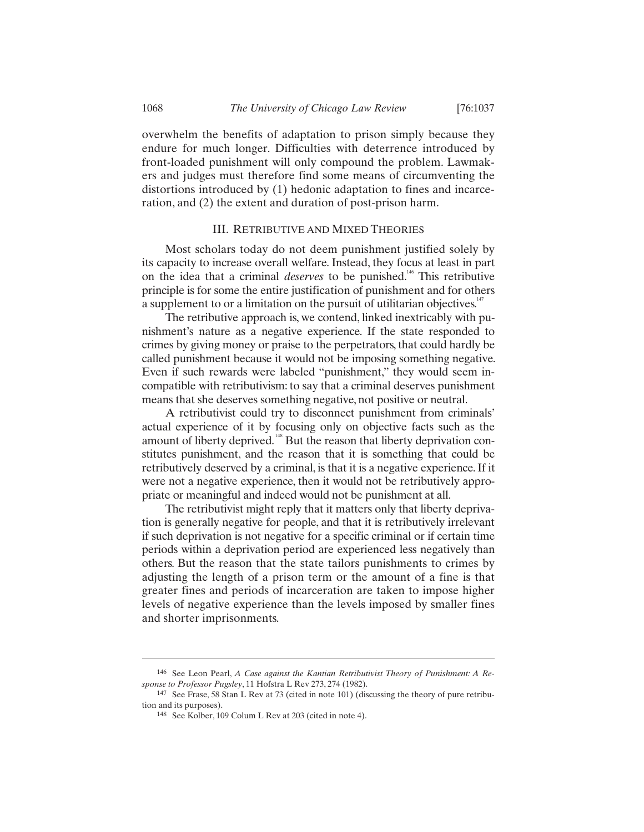overwhelm the benefits of adaptation to prison simply because they endure for much longer. Difficulties with deterrence introduced by front-loaded punishment will only compound the problem. Lawmakers and judges must therefore find some means of circumventing the distortions introduced by (1) hedonic adaptation to fines and incarceration, and (2) the extent and duration of post-prison harm.

#### III. RETRIBUTIVE AND MIXED THEORIES

Most scholars today do not deem punishment justified solely by its capacity to increase overall welfare. Instead, they focus at least in part on the idea that a criminal *deserves* to be punished.<sup>146</sup> This retributive principle is for some the entire justification of punishment and for others a supplement to or a limitation on the pursuit of utilitarian objectives. $147$ 

The retributive approach is, we contend, linked inextricably with punishment's nature as a negative experience. If the state responded to crimes by giving money or praise to the perpetrators, that could hardly be called punishment because it would not be imposing something negative. Even if such rewards were labeled "punishment," they would seem incompatible with retributivism: to say that a criminal deserves punishment means that she deserves something negative, not positive or neutral.

A retributivist could try to disconnect punishment from criminals' actual experience of it by focusing only on objective facts such as the amount of liberty deprived.<sup>148</sup> But the reason that liberty deprivation constitutes punishment, and the reason that it is something that could be retributively deserved by a criminal, is that it is a negative experience. If it were not a negative experience, then it would not be retributively appropriate or meaningful and indeed would not be punishment at all.

The retributivist might reply that it matters only that liberty deprivation is generally negative for people, and that it is retributively irrelevant if such deprivation is not negative for a specific criminal or if certain time periods within a deprivation period are experienced less negatively than others. But the reason that the state tailors punishments to crimes by adjusting the length of a prison term or the amount of a fine is that greater fines and periods of incarceration are taken to impose higher levels of negative experience than the levels imposed by smaller fines and shorter imprisonments.

<sup>146</sup> See Leon Pearl, *A Case against the Kantian Retributivist Theory of Punishment: A Response to Professor Pugsley*, 11 Hofstra L Rev 273, 274 (1982).

<sup>147</sup> See Frase, 58 Stan L Rev at 73 (cited in note 101) (discussing the theory of pure retribution and its purposes).

<sup>148</sup> See Kolber, 109 Colum L Rev at 203 (cited in note 4).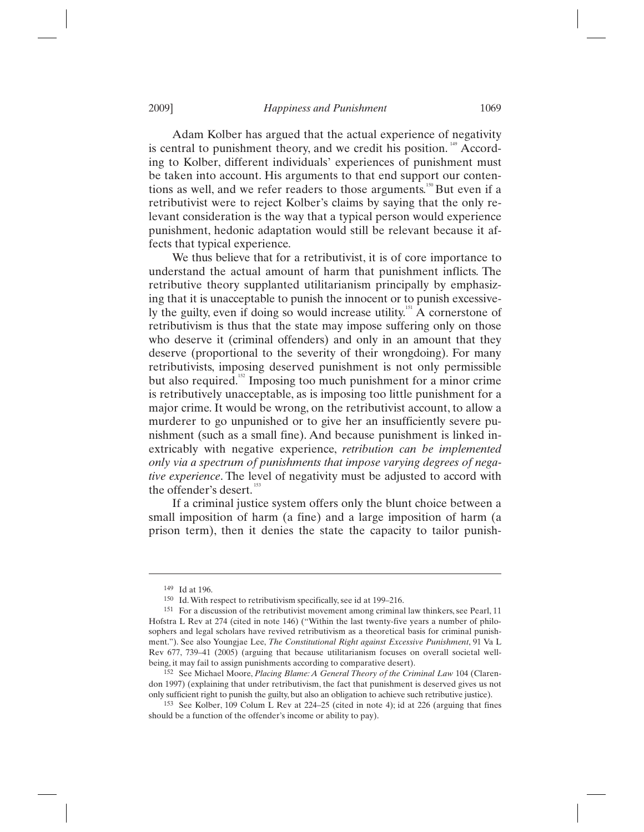Adam Kolber has argued that the actual experience of negativity is central to punishment theory, and we credit his position.<sup>149</sup> According to Kolber, different individuals' experiences of punishment must be taken into account. His arguments to that end support our contentions as well, and we refer readers to those arguments.<sup>150</sup> But even if a retributivist were to reject Kolber's claims by saying that the only relevant consideration is the way that a typical person would experience punishment, hedonic adaptation would still be relevant because it affects that typical experience.

We thus believe that for a retributivist, it is of core importance to understand the actual amount of harm that punishment inflicts. The retributive theory supplanted utilitarianism principally by emphasizing that it is unacceptable to punish the innocent or to punish excessively the guilty, even if doing so would increase utility.<sup>151</sup> A cornerstone of retributivism is thus that the state may impose suffering only on those who deserve it (criminal offenders) and only in an amount that they deserve (proportional to the severity of their wrongdoing). For many retributivists, imposing deserved punishment is not only permissible but also required.<sup>152</sup> Imposing too much punishment for a minor crime is retributively unacceptable, as is imposing too little punishment for a major crime. It would be wrong, on the retributivist account, to allow a murderer to go unpunished or to give her an insufficiently severe punishment (such as a small fine). And because punishment is linked inextricably with negative experience, *retribution can be implemented only via a spectrum of punishments that impose varying degrees of negative experience*. The level of negativity must be adjusted to accord with the offender's desert.<sup>153</sup>

If a criminal justice system offers only the blunt choice between a small imposition of harm (a fine) and a large imposition of harm (a prison term), then it denies the state the capacity to tailor punish-

<sup>149</sup> Id at 196.

<sup>150</sup> Id. With respect to retributivism specifically, see id at 199–216.

<sup>151</sup> For a discussion of the retributivist movement among criminal law thinkers, see Pearl, 11 Hofstra L Rev at 274 (cited in note 146) ("Within the last twenty-five years a number of philosophers and legal scholars have revived retributivism as a theoretical basis for criminal punishment."). See also Youngjae Lee, *The Constitutional Right against Excessive Punishment*, 91 Va L Rev 677, 739–41 (2005) (arguing that because utilitarianism focuses on overall societal wellbeing, it may fail to assign punishments according to comparative desert).

<sup>152</sup> See Michael Moore, *Placing Blame: A General Theory of the Criminal Law* 104 (Clarendon 1997) (explaining that under retributivism, the fact that punishment is deserved gives us not only sufficient right to punish the guilty, but also an obligation to achieve such retributive justice).

<sup>153</sup> See Kolber, 109 Colum L Rev at 224–25 (cited in note 4); id at 226 (arguing that fines should be a function of the offender's income or ability to pay).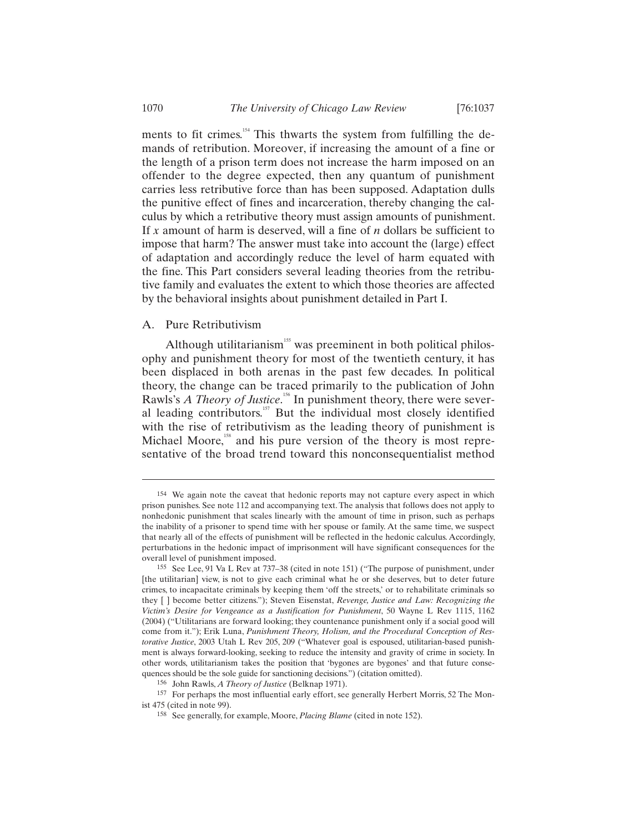ments to fit crimes.<sup>154</sup> This thwarts the system from fulfilling the demands of retribution. Moreover, if increasing the amount of a fine or the length of a prison term does not increase the harm imposed on an offender to the degree expected, then any quantum of punishment carries less retributive force than has been supposed. Adaptation dulls the punitive effect of fines and incarceration, thereby changing the calculus by which a retributive theory must assign amounts of punishment. If *x* amount of harm is deserved, will a fine of *n* dollars be sufficient to impose that harm? The answer must take into account the (large) effect of adaptation and accordingly reduce the level of harm equated with the fine. This Part considers several leading theories from the retributive family and evaluates the extent to which those theories are affected by the behavioral insights about punishment detailed in Part I.

### A. Pure Retributivism

Although utilitarianism<sup>155</sup> was preeminent in both political philosophy and punishment theory for most of the twentieth century, it has been displaced in both arenas in the past few decades. In political theory, the change can be traced primarily to the publication of John Rawls's *A Theory of Justice*.<sup>156</sup> In punishment theory, there were several leading contributors. $157$  But the individual most closely identified with the rise of retributivism as the leading theory of punishment is Michael Moore,<sup>158</sup> and his pure version of the theory is most representative of the broad trend toward this nonconsequentialist method

<sup>154</sup> We again note the caveat that hedonic reports may not capture every aspect in which prison punishes. See note 112 and accompanying text. The analysis that follows does not apply to nonhedonic punishment that scales linearly with the amount of time in prison, such as perhaps the inability of a prisoner to spend time with her spouse or family. At the same time, we suspect that nearly all of the effects of punishment will be reflected in the hedonic calculus. Accordingly, perturbations in the hedonic impact of imprisonment will have significant consequences for the overall level of punishment imposed.

<sup>155</sup> See Lee, 91 Va L Rev at 737–38 (cited in note 151) ("The purpose of punishment, under [the utilitarian] view, is not to give each criminal what he or she deserves, but to deter future crimes, to incapacitate criminals by keeping them 'off the streets,' or to rehabilitate criminals so they [ ] become better citizens."); Steven Eisenstat, *Revenge, Justice and Law: Recognizing the Victim's Desire for Vengeance as a Justification for Punishment*, 50 Wayne L Rev 1115, 1162 (2004) ("Utilitarians are forward looking; they countenance punishment only if a social good will come from it."); Erik Luna, *Punishment Theory, Holism, and the Procedural Conception of Restorative Justice*, 2003 Utah L Rev 205, 209 ("Whatever goal is espoused, utilitarian-based punishment is always forward-looking, seeking to reduce the intensity and gravity of crime in society. In other words, utilitarianism takes the position that 'bygones are bygones' and that future consequences should be the sole guide for sanctioning decisions.") (citation omitted).

<sup>156</sup> John Rawls, *A Theory of Justice* (Belknap 1971).

<sup>157</sup> For perhaps the most influential early effort, see generally Herbert Morris, 52 The Monist 475 (cited in note 99).

<sup>158</sup> See generally, for example, Moore, *Placing Blame* (cited in note 152).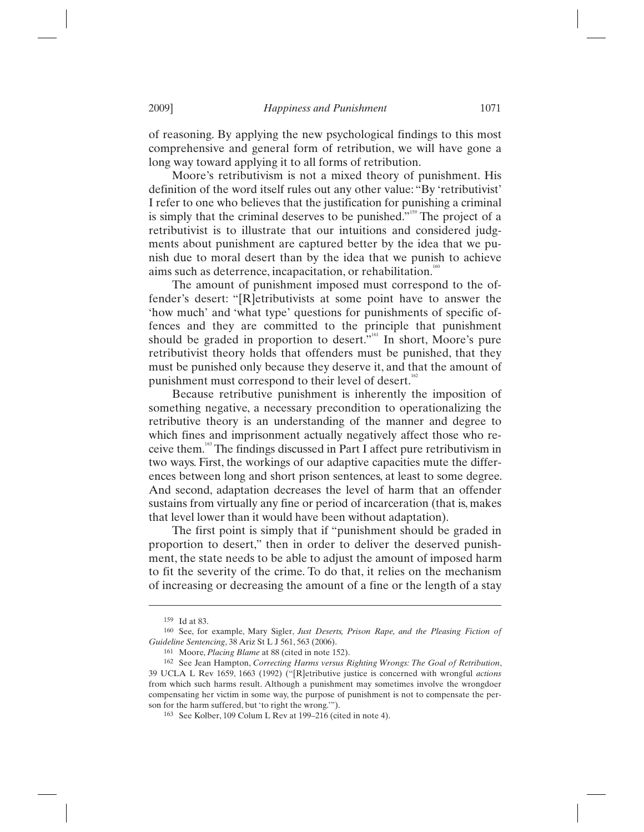of reasoning. By applying the new psychological findings to this most comprehensive and general form of retribution, we will have gone a long way toward applying it to all forms of retribution.

Moore's retributivism is not a mixed theory of punishment. His definition of the word itself rules out any other value: "By 'retributivist' I refer to one who believes that the justification for punishing a criminal is simply that the criminal deserves to be punished."<sup>159</sup> The project of a retributivist is to illustrate that our intuitions and considered judgments about punishment are captured better by the idea that we punish due to moral desert than by the idea that we punish to achieve aims such as deterrence, incapacitation, or rehabilitation.<sup>160</sup>

The amount of punishment imposed must correspond to the offender's desert: "[R]etributivists at some point have to answer the 'how much' and 'what type' questions for punishments of specific offences and they are committed to the principle that punishment should be graded in proportion to desert."<sup>161</sup> In short, Moore's pure retributivist theory holds that offenders must be punished, that they must be punished only because they deserve it, and that the amount of punishment must correspond to their level of desert.<sup>16</sup>

Because retributive punishment is inherently the imposition of something negative, a necessary precondition to operationalizing the retributive theory is an understanding of the manner and degree to which fines and imprisonment actually negatively affect those who receive them.163 The findings discussed in Part I affect pure retributivism in two ways. First, the workings of our adaptive capacities mute the differences between long and short prison sentences, at least to some degree. And second, adaptation decreases the level of harm that an offender sustains from virtually any fine or period of incarceration (that is, makes that level lower than it would have been without adaptation).

The first point is simply that if "punishment should be graded in proportion to desert," then in order to deliver the deserved punishment, the state needs to be able to adjust the amount of imposed harm to fit the severity of the crime. To do that, it relies on the mechanism of increasing or decreasing the amount of a fine or the length of a stay

<sup>159</sup> Id at 83.

<sup>160</sup> See, for example, Mary Sigler, *Just Deserts, Prison Rape, and the Pleasing Fiction of Guideline Sentencing*, 38 Ariz St L J 561, 563 (2006).

<sup>&</sup>lt;sup>162</sup> See Jean Hampton, *Correcting Harms versus Righting Wrongs: The Goal of Retribution*, 39 UCLA L Rev 1659, 1663 (1992) ("[R]etributive justice is concerned with wrongful *actions* from which such harms result. Although a punishment may sometimes involve the wrongdoer compensating her victim in some way, the purpose of punishment is not to compensate the person for the harm suffered, but 'to right the wrong.'").

<sup>163</sup> See Kolber, 109 Colum L Rev at 199–216 (cited in note 4).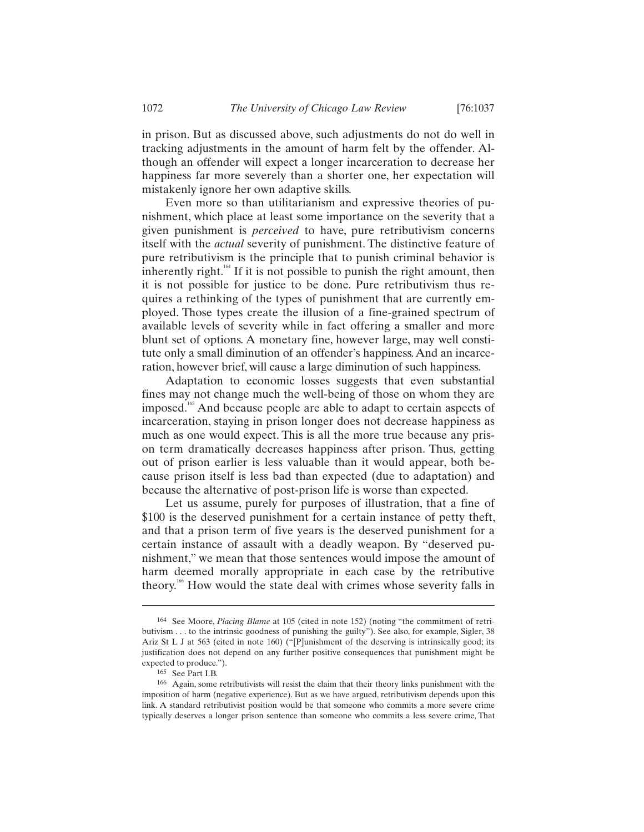in prison. But as discussed above, such adjustments do not do well in tracking adjustments in the amount of harm felt by the offender. Although an offender will expect a longer incarceration to decrease her happiness far more severely than a shorter one, her expectation will mistakenly ignore her own adaptive skills.

Even more so than utilitarianism and expressive theories of punishment, which place at least some importance on the severity that a given punishment is *perceived* to have, pure retributivism concerns itself with the *actual* severity of punishment. The distinctive feature of pure retributivism is the principle that to punish criminal behavior is inherently right.<sup>164</sup> If it is not possible to punish the right amount, then it is not possible for justice to be done. Pure retributivism thus requires a rethinking of the types of punishment that are currently employed. Those types create the illusion of a fine-grained spectrum of available levels of severity while in fact offering a smaller and more blunt set of options. A monetary fine, however large, may well constitute only a small diminution of an offender's happiness. And an incarceration, however brief, will cause a large diminution of such happiness.

Adaptation to economic losses suggests that even substantial fines may not change much the well-being of those on whom they are imposed.<sup>165</sup> And because people are able to adapt to certain aspects of incarceration, staying in prison longer does not decrease happiness as much as one would expect. This is all the more true because any prison term dramatically decreases happiness after prison. Thus, getting out of prison earlier is less valuable than it would appear, both because prison itself is less bad than expected (due to adaptation) and because the alternative of post-prison life is worse than expected.

Let us assume, purely for purposes of illustration, that a fine of \$100 is the deserved punishment for a certain instance of petty theft, and that a prison term of five years is the deserved punishment for a certain instance of assault with a deadly weapon. By "deserved punishment," we mean that those sentences would impose the amount of harm deemed morally appropriate in each case by the retributive theory.166 How would the state deal with crimes whose severity falls in

<sup>164</sup> See Moore, *Placing Blame* at 105 (cited in note 152) (noting "the commitment of retributivism . . . to the intrinsic goodness of punishing the guilty"). See also, for example, Sigler, 38 Ariz St L J at 563 (cited in note 160) ("[P]unishment of the deserving is intrinsically good; its justification does not depend on any further positive consequences that punishment might be expected to produce.").

<sup>165</sup> See Part I.B.

<sup>166</sup> Again, some retributivists will resist the claim that their theory links punishment with the imposition of harm (negative experience). But as we have argued, retributivism depends upon this link. A standard retributivist position would be that someone who commits a more severe crime typically deserves a longer prison sentence than someone who commits a less severe crime, That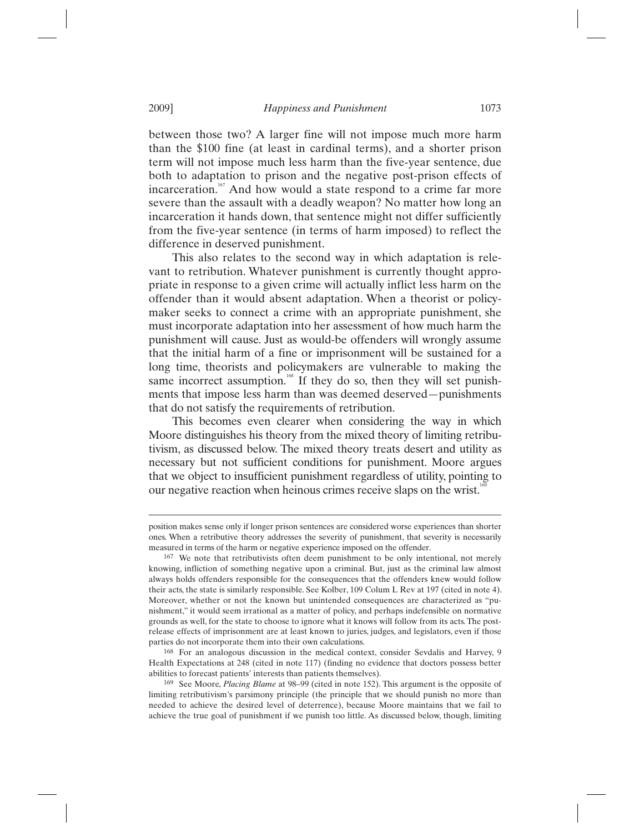between those two? A larger fine will not impose much more harm than the \$100 fine (at least in cardinal terms), and a shorter prison term will not impose much less harm than the five-year sentence, due both to adaptation to prison and the negative post-prison effects of incarceration.<sup>167</sup> And how would a state respond to a crime far more severe than the assault with a deadly weapon? No matter how long an incarceration it hands down, that sentence might not differ sufficiently from the five-year sentence (in terms of harm imposed) to reflect the difference in deserved punishment.

This also relates to the second way in which adaptation is relevant to retribution. Whatever punishment is currently thought appropriate in response to a given crime will actually inflict less harm on the offender than it would absent adaptation. When a theorist or policymaker seeks to connect a crime with an appropriate punishment, she must incorporate adaptation into her assessment of how much harm the punishment will cause. Just as would-be offenders will wrongly assume that the initial harm of a fine or imprisonment will be sustained for a long time, theorists and policymakers are vulnerable to making the same incorrect assumption.<sup>168</sup> If they do so, then they will set punishments that impose less harm than was deemed deserved—punishments that do not satisfy the requirements of retribution.

This becomes even clearer when considering the way in which Moore distinguishes his theory from the mixed theory of limiting retributivism, as discussed below. The mixed theory treats desert and utility as necessary but not sufficient conditions for punishment. Moore argues that we object to insufficient punishment regardless of utility, pointing to our negative reaction when heinous crimes receive slaps on the wrist.<sup>16</sup>

168 For an analogous discussion in the medical context, consider Sevdalis and Harvey, 9 Health Expectations at 248 (cited in note 117) (finding no evidence that doctors possess better abilities to forecast patients' interests than patients themselves).

position makes sense only if longer prison sentences are considered worse experiences than shorter ones. When a retributive theory addresses the severity of punishment, that severity is necessarily measured in terms of the harm or negative experience imposed on the offender.

<sup>167</sup> We note that retributivists often deem punishment to be only intentional, not merely knowing, infliction of something negative upon a criminal. But, just as the criminal law almost always holds offenders responsible for the consequences that the offenders knew would follow their acts, the state is similarly responsible. See Kolber, 109 Colum L Rev at 197 (cited in note 4). Moreover, whether or not the known but unintended consequences are characterized as "punishment," it would seem irrational as a matter of policy, and perhaps indefensible on normative grounds as well, for the state to choose to ignore what it knows will follow from its acts. The postrelease effects of imprisonment are at least known to juries, judges, and legislators, even if those parties do not incorporate them into their own calculations.

<sup>169</sup> See Moore, *Placing Blame* at 98–99 (cited in note 152). This argument is the opposite of limiting retributivism's parsimony principle (the principle that we should punish no more than needed to achieve the desired level of deterrence), because Moore maintains that we fail to achieve the true goal of punishment if we punish too little. As discussed below, though, limiting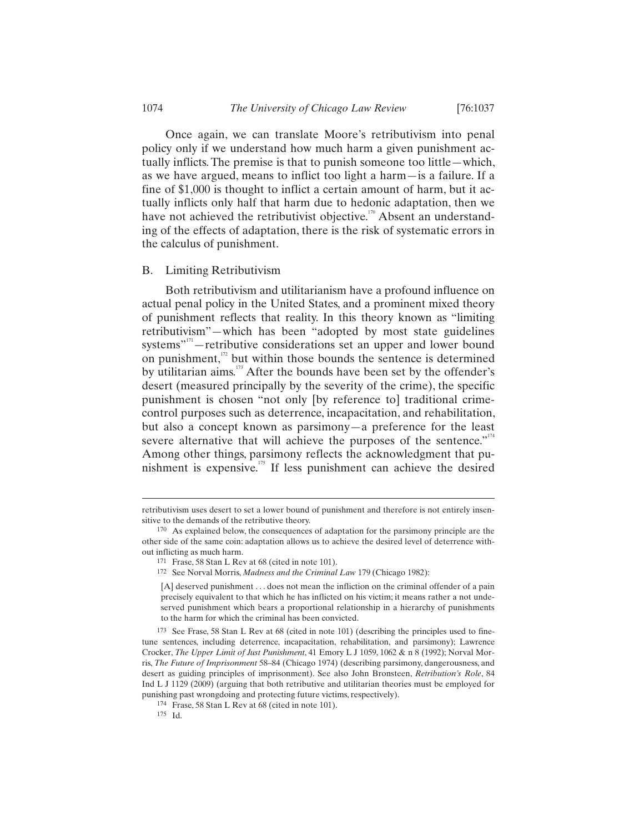Once again, we can translate Moore's retributivism into penal policy only if we understand how much harm a given punishment actually inflicts. The premise is that to punish someone too little—which, as we have argued, means to inflict too light a harm—is a failure. If a fine of \$1,000 is thought to inflict a certain amount of harm, but it actually inflicts only half that harm due to hedonic adaptation, then we have not achieved the retributivist objective.<sup>170</sup> Absent an understanding of the effects of adaptation, there is the risk of systematic errors in the calculus of punishment.

## B. Limiting Retributivism

Both retributivism and utilitarianism have a profound influence on actual penal policy in the United States, and a prominent mixed theory of punishment reflects that reality. In this theory known as "limiting retributivism"—which has been "adopted by most state guidelines systems"<sup>171</sup> – retributive considerations set an upper and lower bound on punishment, $1^{172}$  but within those bounds the sentence is determined by utilitarian aims.<sup>173</sup> After the bounds have been set by the offender's desert (measured principally by the severity of the crime), the specific punishment is chosen "not only [by reference to] traditional crimecontrol purposes such as deterrence, incapacitation, and rehabilitation, but also a concept known as parsimony—a preference for the least severe alternative that will achieve the purposes of the sentence."<sup>174</sup> Among other things, parsimony reflects the acknowledgment that punishment is expensive.175 If less punishment can achieve the desired

172 See Norval Morris, *Madness and the Criminal Law* 179 (Chicago 1982):

retributivism uses desert to set a lower bound of punishment and therefore is not entirely insensitive to the demands of the retributive theory.

<sup>170</sup> As explained below, the consequences of adaptation for the parsimony principle are the other side of the same coin: adaptation allows us to achieve the desired level of deterrence without inflicting as much harm.

<sup>171</sup> Frase, 58 Stan L Rev at 68 (cited in note 101).

<sup>[</sup>A] deserved punishment . . . does not mean the infliction on the criminal offender of a pain precisely equivalent to that which he has inflicted on his victim; it means rather a not undeserved punishment which bears a proportional relationship in a hierarchy of punishments to the harm for which the criminal has been convicted.

<sup>173</sup> See Frase, 58 Stan L Rev at 68 (cited in note 101) (describing the principles used to finetune sentences, including deterrence, incapacitation, rehabilitation, and parsimony); Lawrence Crocker, *The Upper Limit of Just Punishment*, 41 Emory L J 1059, 1062 & n 8 (1992); Norval Morris, *The Future of Imprisonment* 58–84 (Chicago 1974) (describing parsimony, dangerousness, and desert as guiding principles of imprisonment). See also John Bronsteen, *Retribution's Role*, 84 Ind L J 1129 (2009) (arguing that both retributive and utilitarian theories must be employed for punishing past wrongdoing and protecting future victims, respectively).

<sup>174</sup> Frase, 58 Stan L Rev at 68 (cited in note 101).

<sup>175</sup> Id.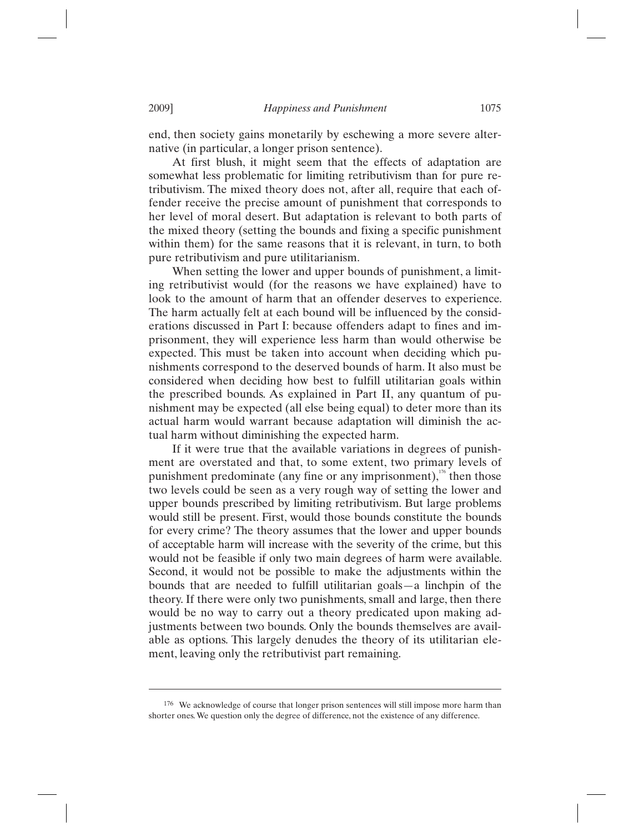end, then society gains monetarily by eschewing a more severe alternative (in particular, a longer prison sentence).

At first blush, it might seem that the effects of adaptation are somewhat less problematic for limiting retributivism than for pure retributivism. The mixed theory does not, after all, require that each offender receive the precise amount of punishment that corresponds to her level of moral desert. But adaptation is relevant to both parts of the mixed theory (setting the bounds and fixing a specific punishment within them) for the same reasons that it is relevant, in turn, to both pure retributivism and pure utilitarianism.

When setting the lower and upper bounds of punishment, a limiting retributivist would (for the reasons we have explained) have to look to the amount of harm that an offender deserves to experience. The harm actually felt at each bound will be influenced by the considerations discussed in Part I: because offenders adapt to fines and imprisonment, they will experience less harm than would otherwise be expected. This must be taken into account when deciding which punishments correspond to the deserved bounds of harm. It also must be considered when deciding how best to fulfill utilitarian goals within the prescribed bounds. As explained in Part II, any quantum of punishment may be expected (all else being equal) to deter more than its actual harm would warrant because adaptation will diminish the actual harm without diminishing the expected harm.

If it were true that the available variations in degrees of punishment are overstated and that, to some extent, two primary levels of punishment predominate (any fine or any imprisonment), $\frac{176}{176}$  then those two levels could be seen as a very rough way of setting the lower and upper bounds prescribed by limiting retributivism. But large problems would still be present. First, would those bounds constitute the bounds for every crime? The theory assumes that the lower and upper bounds of acceptable harm will increase with the severity of the crime, but this would not be feasible if only two main degrees of harm were available. Second, it would not be possible to make the adjustments within the bounds that are needed to fulfill utilitarian goals—a linchpin of the theory. If there were only two punishments, small and large, then there would be no way to carry out a theory predicated upon making adjustments between two bounds. Only the bounds themselves are available as options. This largely denudes the theory of its utilitarian element, leaving only the retributivist part remaining.

<sup>176</sup> We acknowledge of course that longer prison sentences will still impose more harm than shorter ones. We question only the degree of difference, not the existence of any difference.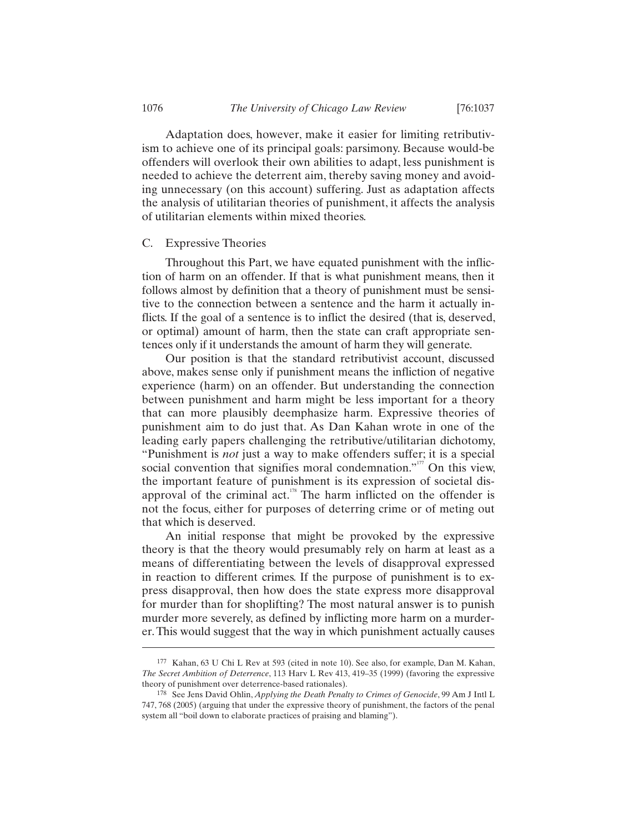Adaptation does, however, make it easier for limiting retributivism to achieve one of its principal goals: parsimony. Because would-be offenders will overlook their own abilities to adapt, less punishment is needed to achieve the deterrent aim, thereby saving money and avoiding unnecessary (on this account) suffering. Just as adaptation affects the analysis of utilitarian theories of punishment, it affects the analysis of utilitarian elements within mixed theories.

## C. Expressive Theories

Throughout this Part, we have equated punishment with the infliction of harm on an offender. If that is what punishment means, then it follows almost by definition that a theory of punishment must be sensitive to the connection between a sentence and the harm it actually inflicts. If the goal of a sentence is to inflict the desired (that is, deserved, or optimal) amount of harm, then the state can craft appropriate sentences only if it understands the amount of harm they will generate.

Our position is that the standard retributivist account, discussed above, makes sense only if punishment means the infliction of negative experience (harm) on an offender. But understanding the connection between punishment and harm might be less important for a theory that can more plausibly deemphasize harm. Expressive theories of punishment aim to do just that. As Dan Kahan wrote in one of the leading early papers challenging the retributive/utilitarian dichotomy, "Punishment is *not* just a way to make offenders suffer; it is a special social convention that signifies moral condemnation."<sup>177</sup> On this view, the important feature of punishment is its expression of societal disapproval of the criminal act.<sup>178</sup> The harm inflicted on the offender is not the focus, either for purposes of deterring crime or of meting out that which is deserved.

An initial response that might be provoked by the expressive theory is that the theory would presumably rely on harm at least as a means of differentiating between the levels of disapproval expressed in reaction to different crimes. If the purpose of punishment is to express disapproval, then how does the state express more disapproval for murder than for shoplifting? The most natural answer is to punish murder more severely, as defined by inflicting more harm on a murderer. This would suggest that the way in which punishment actually causes

<sup>177</sup> Kahan, 63 U Chi L Rev at 593 (cited in note 10). See also, for example, Dan M. Kahan, *The Secret Ambition of Deterrence*, 113 Harv L Rev 413, 419–35 (1999) (favoring the expressive theory of punishment over deterrence-based rationales).

<sup>178</sup> See Jens David Ohlin, *Applying the Death Penalty to Crimes of Genocide*, 99 Am J Intl L 747, 768 (2005) (arguing that under the expressive theory of punishment, the factors of the penal system all "boil down to elaborate practices of praising and blaming").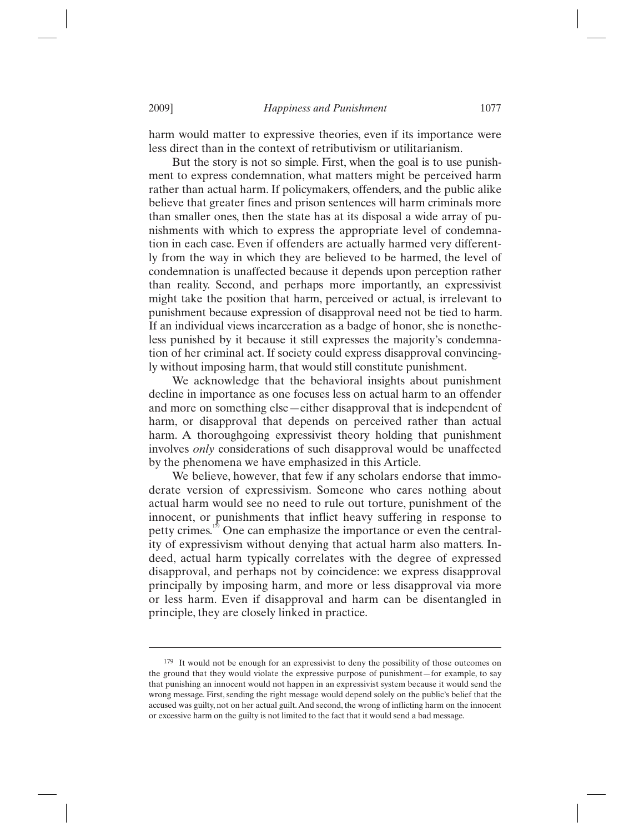harm would matter to expressive theories, even if its importance were less direct than in the context of retributivism or utilitarianism.

But the story is not so simple. First, when the goal is to use punishment to express condemnation, what matters might be perceived harm rather than actual harm. If policymakers, offenders, and the public alike believe that greater fines and prison sentences will harm criminals more than smaller ones, then the state has at its disposal a wide array of punishments with which to express the appropriate level of condemnation in each case. Even if offenders are actually harmed very differently from the way in which they are believed to be harmed, the level of condemnation is unaffected because it depends upon perception rather than reality. Second, and perhaps more importantly, an expressivist might take the position that harm, perceived or actual, is irrelevant to punishment because expression of disapproval need not be tied to harm. If an individual views incarceration as a badge of honor, she is nonetheless punished by it because it still expresses the majority's condemnation of her criminal act. If society could express disapproval convincingly without imposing harm, that would still constitute punishment.

We acknowledge that the behavioral insights about punishment decline in importance as one focuses less on actual harm to an offender and more on something else—either disapproval that is independent of harm, or disapproval that depends on perceived rather than actual harm. A thoroughgoing expressivist theory holding that punishment involves *only* considerations of such disapproval would be unaffected by the phenomena we have emphasized in this Article.

We believe, however, that few if any scholars endorse that immoderate version of expressivism. Someone who cares nothing about actual harm would see no need to rule out torture, punishment of the innocent, or punishments that inflict heavy suffering in response to petty crimes.<sup>179</sup> One can emphasize the importance or even the centrality of expressivism without denying that actual harm also matters. Indeed, actual harm typically correlates with the degree of expressed disapproval, and perhaps not by coincidence: we express disapproval principally by imposing harm, and more or less disapproval via more or less harm. Even if disapproval and harm can be disentangled in principle, they are closely linked in practice.

<sup>179</sup> It would not be enough for an expressivist to deny the possibility of those outcomes on the ground that they would violate the expressive purpose of punishment—for example, to say that punishing an innocent would not happen in an expressivist system because it would send the wrong message. First, sending the right message would depend solely on the public's belief that the accused was guilty, not on her actual guilt. And second, the wrong of inflicting harm on the innocent or excessive harm on the guilty is not limited to the fact that it would send a bad message.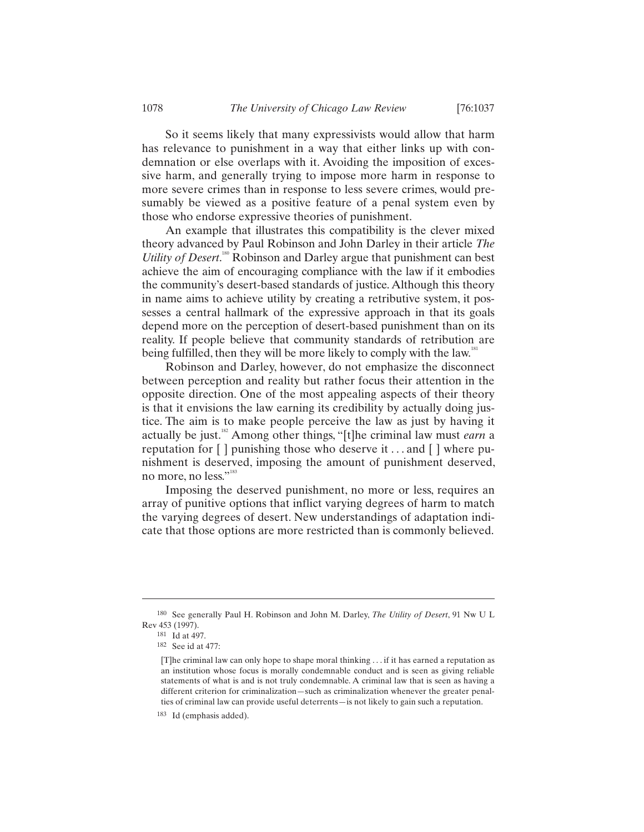So it seems likely that many expressivists would allow that harm has relevance to punishment in a way that either links up with condemnation or else overlaps with it. Avoiding the imposition of excessive harm, and generally trying to impose more harm in response to more severe crimes than in response to less severe crimes, would presumably be viewed as a positive feature of a penal system even by those who endorse expressive theories of punishment.

An example that illustrates this compatibility is the clever mixed theory advanced by Paul Robinson and John Darley in their article *The Utility of Desert*.<sup>180</sup> Robinson and Darley argue that punishment can best achieve the aim of encouraging compliance with the law if it embodies the community's desert-based standards of justice. Although this theory in name aims to achieve utility by creating a retributive system, it possesses a central hallmark of the expressive approach in that its goals depend more on the perception of desert-based punishment than on its reality. If people believe that community standards of retribution are being fulfilled, then they will be more likely to comply with the law.<sup>181</sup>

Robinson and Darley, however, do not emphasize the disconnect between perception and reality but rather focus their attention in the opposite direction. One of the most appealing aspects of their theory is that it envisions the law earning its credibility by actually doing justice. The aim is to make people perceive the law as just by having it actually be just.182 Among other things, "[t]he criminal law must *earn* a reputation for [ ] punishing those who deserve it . . . and [ ] where punishment is deserved, imposing the amount of punishment deserved, no more, no less."<sup>183</sup>

Imposing the deserved punishment, no more or less, requires an array of punitive options that inflict varying degrees of harm to match the varying degrees of desert. New understandings of adaptation indicate that those options are more restricted than is commonly believed.

<sup>180</sup> See generally Paul H. Robinson and John M. Darley, *The Utility of Desert*, 91 Nw U L Rev 453 (1997).

<sup>181</sup> Id at 497.

<sup>182</sup> See id at 477:

<sup>[</sup>T]he criminal law can only hope to shape moral thinking . . . if it has earned a reputation as an institution whose focus is morally condemnable conduct and is seen as giving reliable statements of what is and is not truly condemnable. A criminal law that is seen as having a different criterion for criminalization—such as criminalization whenever the greater penalties of criminal law can provide useful deterrents—is not likely to gain such a reputation.

<sup>183</sup> Id (emphasis added).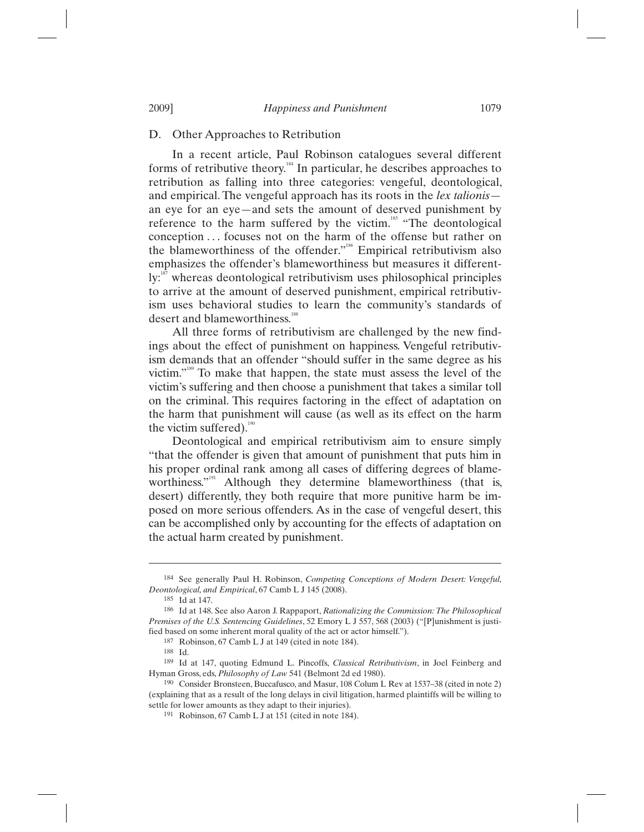# D. Other Approaches to Retribution

In a recent article, Paul Robinson catalogues several different forms of retributive theory.184 In particular, he describes approaches to retribution as falling into three categories: vengeful, deontological, and empirical. The vengeful approach has its roots in the *lex talionis* an eye for an eye—and sets the amount of deserved punishment by reference to the harm suffered by the victim.<sup>185</sup> "The deontological conception ... focuses not on the harm of the offense but rather on the blameworthiness of the offender."<sup>186</sup> Empirical retributivism also emphasizes the offender's blameworthiness but measures it different- $\mathbf{I}$ y:<sup>187</sup> whereas deontological retributivism uses philosophical principles to arrive at the amount of deserved punishment, empirical retributivism uses behavioral studies to learn the community's standards of desert and blameworthiness.<sup>188</sup>

All three forms of retributivism are challenged by the new findings about the effect of punishment on happiness. Vengeful retributivism demands that an offender "should suffer in the same degree as his victim."<sup>189</sup> To make that happen, the state must assess the level of the victim's suffering and then choose a punishment that takes a similar toll on the criminal. This requires factoring in the effect of adaptation on the harm that punishment will cause (as well as its effect on the harm the victim suffered). $190$ 

Deontological and empirical retributivism aim to ensure simply "that the offender is given that amount of punishment that puts him in his proper ordinal rank among all cases of differing degrees of blameworthiness."<sup>191</sup> Although they determine blameworthiness (that is, desert) differently, they both require that more punitive harm be imposed on more serious offenders. As in the case of vengeful desert, this can be accomplished only by accounting for the effects of adaptation on the actual harm created by punishment.

<sup>184</sup> See generally Paul H. Robinson, *Competing Conceptions of Modern Desert: Vengeful, Deontological, and Empirical*, 67 Camb L J 145 (2008).

<sup>185</sup> Id at 147.

<sup>186</sup> Id at 148. See also Aaron J. Rappaport, *Rationalizing the Commission: The Philosophical Premises of the U.S. Sentencing Guidelines*, 52 Emory L J 557, 568 (2003) ("[P]unishment is justified based on some inherent moral quality of the act or actor himself.").

<sup>187</sup> Robinson, 67 Camb L J at 149 (cited in note 184).

<sup>188</sup> Id. 189 Id at 147, quoting Edmund L. Pincoffs, *Classical Retributivism*, in Joel Feinberg and Hyman Gross, eds, *Philosophy of Law* 541 (Belmont 2d ed 1980).

<sup>190</sup> Consider Bronsteen, Buccafusco, and Masur, 108 Colum L Rev at 1537–38 (cited in note 2) (explaining that as a result of the long delays in civil litigation, harmed plaintiffs will be willing to settle for lower amounts as they adapt to their injuries).

<sup>191</sup> Robinson, 67 Camb L J at 151 (cited in note 184).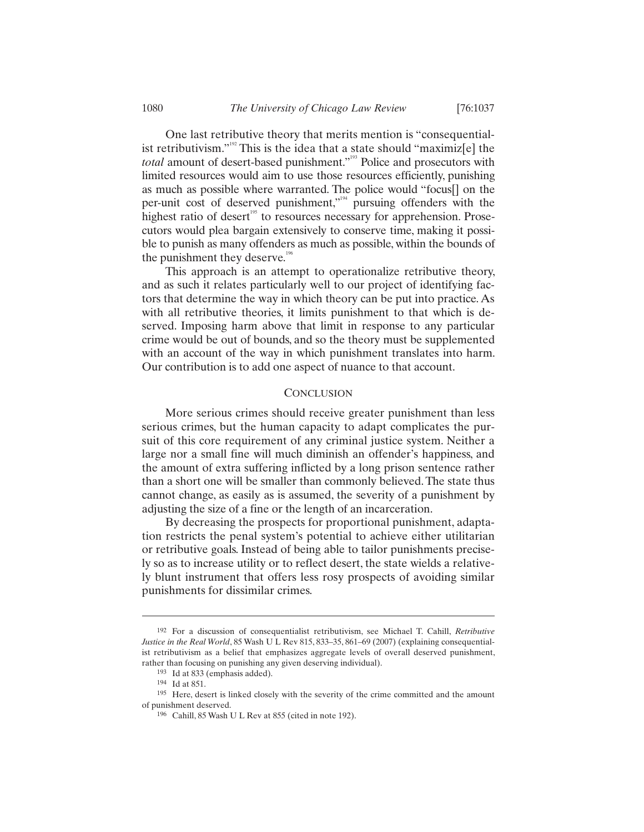One last retributive theory that merits mention is "consequentialist retributivism."<sup>192</sup> This is the idea that a state should "maximiz[e] the *total* amount of desert-based punishment."<sup>193</sup> Police and prosecutors with limited resources would aim to use those resources efficiently, punishing as much as possible where warranted. The police would "focus[] on the per-unit cost of deserved punishment,"<sup>194</sup> pursuing offenders with the highest ratio of desert<sup>195</sup> to resources necessary for apprehension. Prosecutors would plea bargain extensively to conserve time, making it possible to punish as many offenders as much as possible, within the bounds of the punishment they deserve.<sup>196</sup>

This approach is an attempt to operationalize retributive theory, and as such it relates particularly well to our project of identifying factors that determine the way in which theory can be put into practice. As with all retributive theories, it limits punishment to that which is deserved. Imposing harm above that limit in response to any particular crime would be out of bounds, and so the theory must be supplemented with an account of the way in which punishment translates into harm. Our contribution is to add one aspect of nuance to that account.

# **CONCLUSION**

More serious crimes should receive greater punishment than less serious crimes, but the human capacity to adapt complicates the pursuit of this core requirement of any criminal justice system. Neither a large nor a small fine will much diminish an offender's happiness, and the amount of extra suffering inflicted by a long prison sentence rather than a short one will be smaller than commonly believed. The state thus cannot change, as easily as is assumed, the severity of a punishment by adjusting the size of a fine or the length of an incarceration.

By decreasing the prospects for proportional punishment, adaptation restricts the penal system's potential to achieve either utilitarian or retributive goals. Instead of being able to tailor punishments precisely so as to increase utility or to reflect desert, the state wields a relatively blunt instrument that offers less rosy prospects of avoiding similar punishments for dissimilar crimes.

<sup>192</sup> For a discussion of consequentialist retributivism, see Michael T. Cahill, *Retributive Justice in the Real World*, 85 Wash U L Rev 815, 833–35, 861–69 (2007) (explaining consequentialist retributivism as a belief that emphasizes aggregate levels of overall deserved punishment, rather than focusing on punishing any given deserving individual).

<sup>193</sup> Id at 833 (emphasis added).

<sup>194</sup> Id at 851.

<sup>195</sup> Here, desert is linked closely with the severity of the crime committed and the amount of punishment deserved.

<sup>196</sup> Cahill, 85 Wash U L Rev at 855 (cited in note 192).